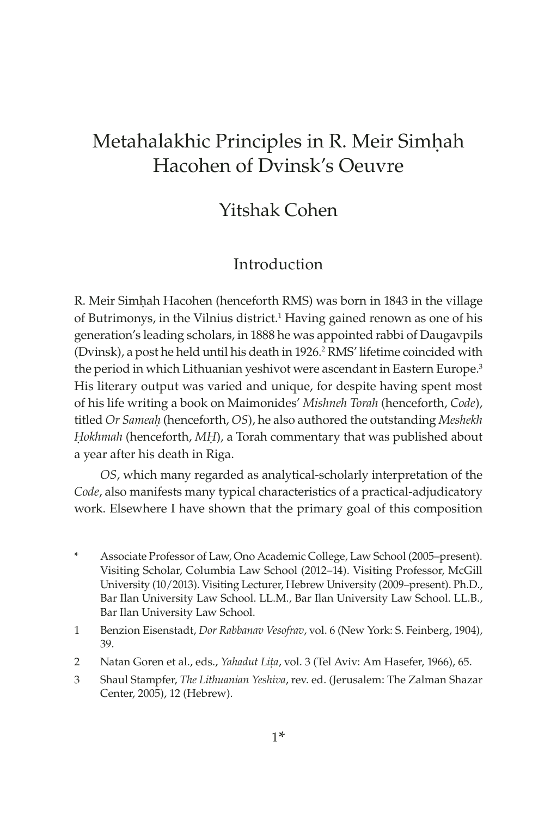# Metahalakhic Principles in R. Meir Simhah Hacohen of Dvinsk's Oeuvre

## Yitshak Cohen

### Introduction

R. Meir Simhah Hacohen (henceforth RMS) was born in 1843 in the village of Butrimonys, in the Vilnius district.<sup>1</sup> Having gained renown as one of his generation's leading scholars, in 1888 he was appointed rabbi of Daugavpils (Dvinsk), a post he held until his death in 1926.<sup>2</sup> RMS' lifetime coincided with the period in which Lithuanian yeshivot were ascendant in Eastern Europe.<sup>3</sup> His literary output was varied and unique, for despite having spent most of his life writing a book on Maimonides' *Mishneh Torah* (henceforth, *Code*), titled *Or Sameaḥ* (henceforth, *OS*), he also authored the outstanding *Meshekh Êokhmah* (henceforth, *MÊ*), a Torah commentary that was published about a year after his death in Riga.

*OS*, which many regarded as analytical-scholarly interpretation of the *Code*, also manifests many typical characteristics of a practical-adjudicatory work. Elsewhere I have shown that the primary goal of this composition

- \* Associate Professor of Law, Ono Academic College, Law School (2005–present). Visiting Scholar, Columbia Law School (2012–14). Visiting Professor, McGill University (10/2013). Visiting Lecturer, Hebrew University (2009–present). Ph.D., Bar Ilan University Law School. LL.M., Bar Ilan University Law School. LL.B., Bar Ilan University Law School.
- 1 Benzion Eisenstadt, *Dor Rabbanav Vesofrav*, vol. 6 (New York: S. Feinberg, 1904), 39.
- 2 Natan Goren et al., eds., *Yahadut Liûa*, vol. 3 (Tel Aviv: Am Hasefer, 1966), 65.
- 3 Shaul Stampfer, *The Lithuanian Yeshiva*, rev. ed. (Jerusalem: The Zalman Shazar Center, 2005), 12 (Hebrew).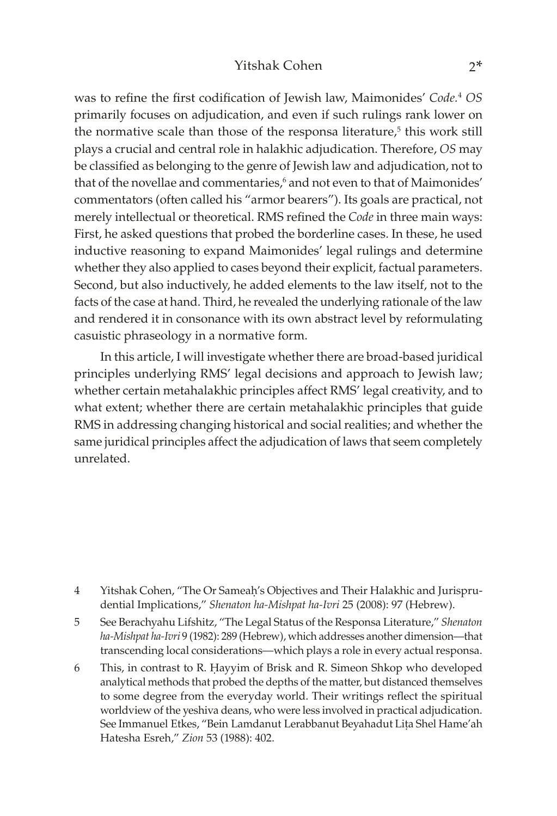#### Yitshak Cohen 2\*

was to refine the first codification of Jewish law, Maimonides' *Code.*<sup>4</sup> *OS* primarily focuses on adjudication, and even if such rulings rank lower on the normative scale than those of the responsa literature,<sup>5</sup> this work still plays a crucial and central role in halakhic adjudication. Therefore, *OS* may be classified as belonging to the genre of Jewish law and adjudication, not to that of the novellae and commentaries,<sup>6</sup> and not even to that of Maimonides' commentators (often called his "armor bearers"). Its goals are practical, not merely intellectual or theoretical. RMS refined the *Code* in three main ways: First, he asked questions that probed the borderline cases. In these, he used inductive reasoning to expand Maimonides' legal rulings and determine whether they also applied to cases beyond their explicit, factual parameters. Second, but also inductively, he added elements to the law itself, not to the facts of the case at hand. Third, he revealed the underlying rationale of the law and rendered it in consonance with its own abstract level by reformulating casuistic phraseology in a normative form.

In this article, I will investigate whether there are broad-based juridical principles underlying RMS' legal decisions and approach to Jewish law; whether certain metahalakhic principles affect RMS' legal creativity, and to what extent; whether there are certain metahalakhic principles that guide RMS in addressing changing historical and social realities; and whether the same juridical principles affect the adjudication of laws that seem completely unrelated.

- 4 Yitshak Cohen, "The Or Sameaḥ's Objectives and Their Halakhic and Jurisprudential Implications," *Shenaton ha-Mishpat ha-Ivri* 25 (2008): 97 (Hebrew).
- 5 See Berachyahu Lifshitz, "The Legal Status of the Responsa Literature," *Shenaton ha-Mishpat ha-Ivri* 9 (1982): 289 (Hebrew), which addresses another dimension—that transcending local considerations—which plays a role in every actual responsa.
- 6 This, in contrast to R. Êayyim of Brisk and R. Simeon Shkop who developed analytical methods that probed the depths of the matter, but distanced themselves to some degree from the everyday world. Their writings reflect the spiritual worldview of the yeshiva deans, who were less involved in practical adjudication. See Immanuel Etkes, "Bein Lamdanut Lerabbanut Beyahadut Lița Shel Hame'ah Hatesha Esreh," *Zion* 53 (1988): 402.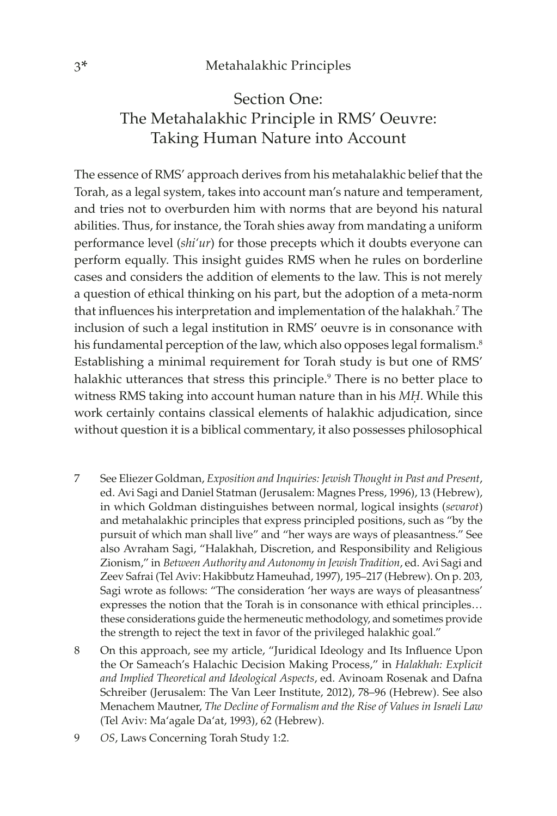# Section One: The Metahalakhic Principle in RMS' Oeuvre: Taking Human Nature into Account

The essence of RMS' approach derives from his metahalakhic belief that the Torah, as a legal system, takes into account man's nature and temperament, and tries not to overburden him with norms that are beyond his natural abilities. Thus, for instance, the Torah shies away from mandating a uniform performance level (*shi'ur*) for those precepts which it doubts everyone can perform equally. This insight guides RMS when he rules on borderline cases and considers the addition of elements to the law. This is not merely a question of ethical thinking on his part, but the adoption of a meta-norm that influences his interpretation and implementation of the halakhah.<sup>7</sup> The inclusion of such a legal institution in RMS' oeuvre is in consonance with his fundamental perception of the law, which also opposes legal formalism.<sup>8</sup> Establishing a minimal requirement for Torah study is but one of RMS' halakhic utterances that stress this principle.<sup>9</sup> There is no better place to witness RMS taking into account human nature than in his MH. While this work certainly contains classical elements of halakhic adjudication, since without question it is a biblical commentary, it also possesses philosophical

- 7 See Eliezer Goldman, *Exposition and Inquiries: Jewish Thought in Past and Present*, ed. Avi Sagi and Daniel Statman (Jerusalem: Magnes Press, 1996), 13 (Hebrew), in which Goldman distinguishes between normal, logical insights (*sevarot*) and metahalakhic principles that express principled positions, such as "by the pursuit of which man shall live" and "her ways are ways of pleasantness." See also Avraham Sagi, "Halakhah, Discretion, and Responsibility and Religious Zionism," in *Between Authority and Autonomy in Jewish Tradition*, ed. Avi Sagi and Zeev Safrai (Tel Aviv: Hakibbutz Hameuhad, 1997), 195–217 (Hebrew). On p. 203, Sagi wrote as follows: "The consideration 'her ways are ways of pleasantness' expresses the notion that the Torah is in consonance with ethical principles… these considerations guide the hermeneutic methodology, and sometimes provide the strength to reject the text in favor of the privileged halakhic goal."
- 8 On this approach, see my article, "Juridical Ideology and Its Influence Upon the Or Sameach's Halachic Decision Making Process," in *Halakhah: Explicit and Implied Theoretical and Ideological Aspects*, ed. Avinoam Rosenak and Dafna Schreiber (Jerusalem: The Van Leer Institute, 2012), 78–96 (Hebrew). See also Menachem Mautner, *The Decline of Formalism and the Rise of Values in Israeli Law* (Tel Aviv: Ma'agale Da'at, 1993), 62 (Hebrew).
- 9 *OS*, Laws Concerning Torah Study 1:2.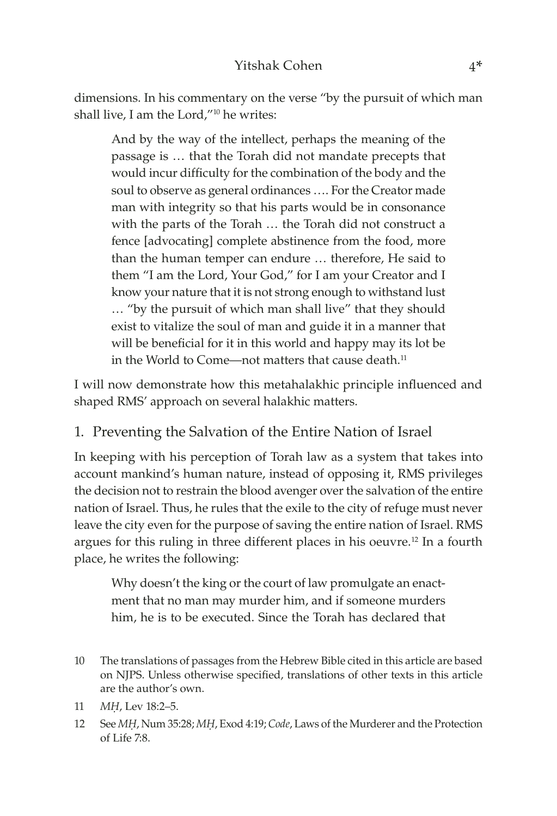dimensions. In his commentary on the verse "by the pursuit of which man shall live, I am the Lord,"10 he writes:

And by the way of the intellect, perhaps the meaning of the passage is … that the Torah did not mandate precepts that would incur difficulty for the combination of the body and the soul to observe as general ordinances …. For the Creator made man with integrity so that his parts would be in consonance with the parts of the Torah … the Torah did not construct a fence [advocating] complete abstinence from the food, more than the human temper can endure … therefore, He said to them "I am the Lord, Your God," for I am your Creator and I know your nature that it is not strong enough to withstand lust … "by the pursuit of which man shall live" that they should exist to vitalize the soul of man and guide it in a manner that will be beneficial for it in this world and happy may its lot be in the World to Come—not matters that cause death.<sup>11</sup>

I will now demonstrate how this metahalakhic principle influenced and shaped RMS' approach on several halakhic matters.

1. Preventing the Salvation of the Entire Nation of Israel

In keeping with his perception of Torah law as a system that takes into account mankind's human nature, instead of opposing it, RMS privileges the decision not to restrain the blood avenger over the salvation of the entire nation of Israel. Thus, he rules that the exile to the city of refuge must never leave the city even for the purpose of saving the entire nation of Israel. RMS argues for this ruling in three different places in his oeuvre.<sup>12</sup> In a fourth place, he writes the following:

Why doesn't the king or the court of law promulgate an enactment that no man may murder him, and if someone murders him, he is to be executed. Since the Torah has declared that

- 10 The translations of passages from the Hebrew Bible cited in this article are based on NJPS. Unless otherwise specified, translations of other texts in this article are the author's own.
- 11 *MH*, Lev 18:2-5.
- 12 See *MÊ*, Num 35:28; *MÊ*, Exod 4:19; *Code*, Laws of the Murderer and the Protection of Life  $7.8$ .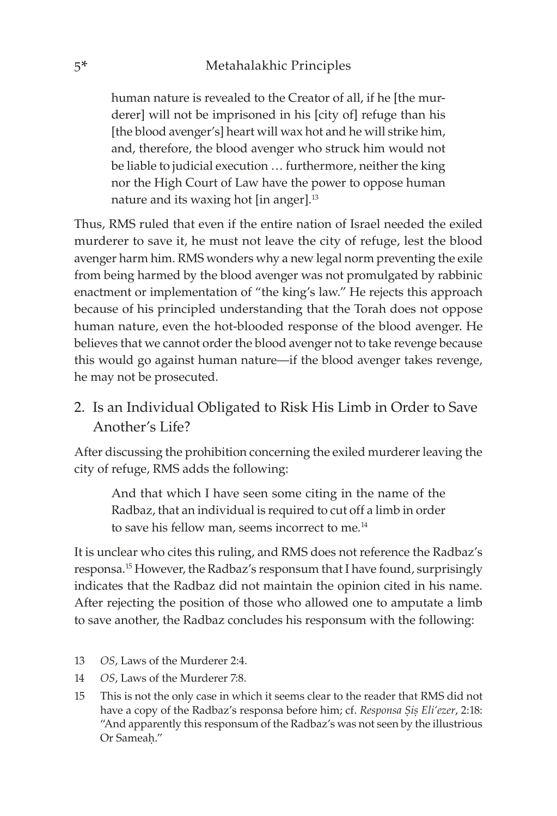human nature is revealed to the Creator of all, if he [the murderer] will not be imprisoned in his [city of] refuge than his [the blood avenger's] heart will wax hot and he will strike him, and, therefore, the blood avenger who struck him would not be liable to judicial execution … furthermore, neither the king nor the High Court of Law have the power to oppose human nature and its waxing hot [in anger].<sup>13</sup>

Thus, RMS ruled that even if the entire nation of Israel needed the exiled murderer to save it, he must not leave the city of refuge, lest the blood avenger harm him. RMS wonders why a new legal norm preventing the exile from being harmed by the blood avenger was not promulgated by rabbinic enactment or implementation of "the king's law." He rejects this approach because of his principled understanding that the Torah does not oppose human nature, even the hot-blooded response of the blood avenger. He believes that we cannot order the blood avenger not to take revenge because this would go against human nature—if the blood avenger takes revenge, he may not be prosecuted.

2. Is an Individual Obligated to Risk His Limb in Order to Save Another's Life?

After discussing the prohibition concerning the exiled murderer leaving the city of refuge, RMS adds the following:

And that which I have seen some citing in the name of the Radbaz, that an individual is required to cut off a limb in order to save his fellow man, seems incorrect to me*.* 14

It is unclear who cites this ruling, and RMS does not reference the Radbaz's responsa.15 However, the Radbaz's responsum that I have found, surprisingly indicates that the Radbaz did not maintain the opinion cited in his name. After rejecting the position of those who allowed one to amputate a limb to save another, the Radbaz concludes his responsum with the following:

- 13 *OS*, Laws of the Murderer 2:4.
- 14 *OS*, Laws of the Murderer 7:8.
- 15 This is not the only case in which it seems clear to the reader that RMS did not have a copy of the Radbaz's responsa before him; cf. *Responsa Șiș Eli'ezer*, 2:18: "And apparently this responsum of the Radbaz's was not seen by the illustrious Or Sameah."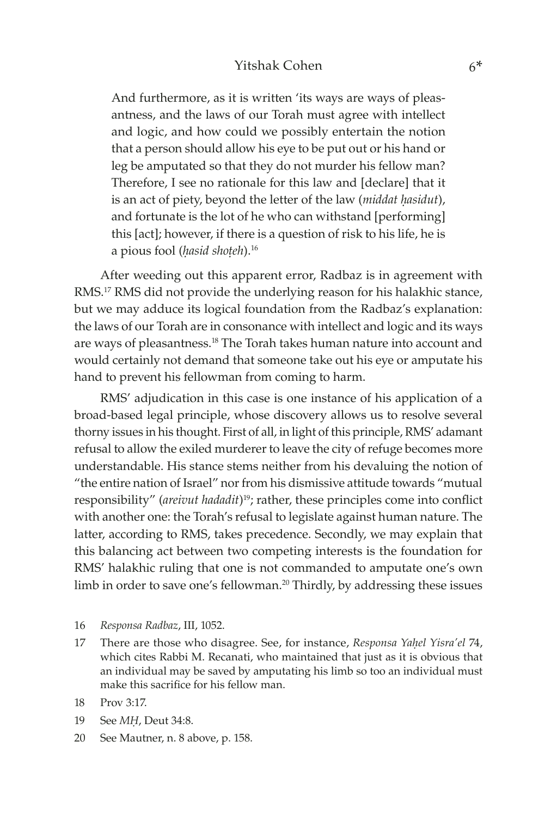#### Yitshak Cohen 6\*

And furthermore, as it is written 'its ways are ways of pleasantness, and the laws of our Torah must agree with intellect and logic, and how could we possibly entertain the notion that a person should allow his eye to be put out or his hand or leg be amputated so that they do not murder his fellow man? Therefore, I see no rationale for this law and [declare] that it is an act of piety, beyond the letter of the law (*middat hasidut*), and fortunate is the lot of he who can withstand [performing] this [act]; however, if there is a question of risk to his life, he is a pious fool (*hasid shoteh*).<sup>16</sup>

After weeding out this apparent error, Radbaz is in agreement with RMS.<sup>17</sup> RMS did not provide the underlying reason for his halakhic stance, but we may adduce its logical foundation from the Radbaz's explanation: the laws of our Torah are in consonance with intellect and logic and its ways are ways of pleasantness.<sup>18</sup> The Torah takes human nature into account and would certainly not demand that someone take out his eye or amputate his hand to prevent his fellowman from coming to harm.

RMS' adjudication in this case is one instance of his application of a broad-based legal principle, whose discovery allows us to resolve several thorny issues in his thought. First of all, in light of this principle, RMS' adamant refusal to allow the exiled murderer to leave the city of refuge becomes more understandable. His stance stems neither from his devaluing the notion of "the entire nation of Israel" nor from his dismissive attitude towards "mutual responsibility" (*areivut hadadit*) <sup>19</sup>; rather, these principles come into conflict with another one: the Torah's refusal to legislate against human nature. The latter, according to RMS, takes precedence. Secondly, we may explain that this balancing act between two competing interests is the foundation for RMS' halakhic ruling that one is not commanded to amputate one's own limb in order to save one's fellowman.<sup>20</sup> Thirdly, by addressing these issues

- 16 *Responsa Radbaz*, III, 1052.
- 17 There are those who disagree. See, for instance, *Responsa Yaḥel Yisra'el* 74, which cites Rabbi M. Recanati, who maintained that just as it is obvious that an individual may be saved by amputating his limb so too an individual must make this sacrifice for his fellow man.
- 18 Prov 3:17.
- 19 See *MH*, Deut 34:8.
- 20 See Mautner, n. 8 above, p. 158.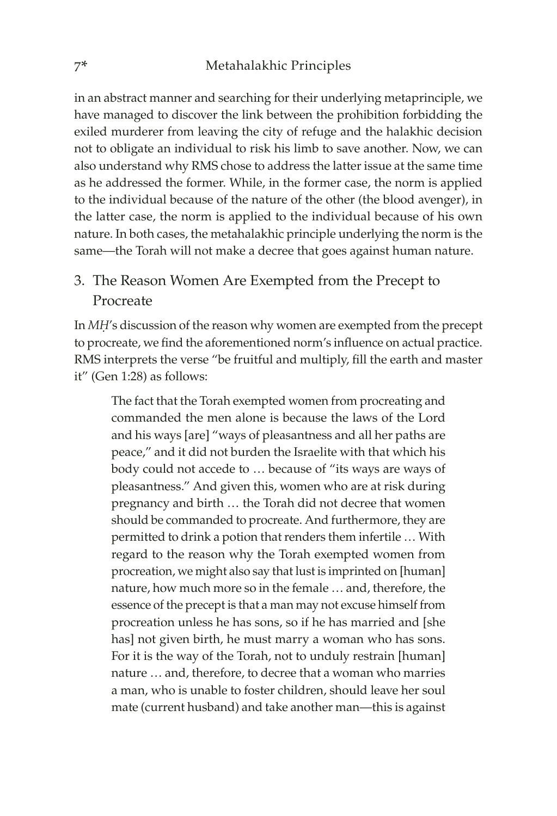in an abstract manner and searching for their underlying metaprinciple, we have managed to discover the link between the prohibition forbidding the exiled murderer from leaving the city of refuge and the halakhic decision not to obligate an individual to risk his limb to save another. Now, we can also understand why RMS chose to address the latter issue at the same time as he addressed the former. While, in the former case, the norm is applied to the individual because of the nature of the other (the blood avenger), in the latter case, the norm is applied to the individual because of his own nature. In both cases, the metahalakhic principle underlying the norm is the same—the Torah will not make a decree that goes against human nature.

### 3. The Reason Women Are Exempted from the Precept to Procreate

In *MH*'s discussion of the reason why women are exempted from the precept to procreate, we find the aforementioned norm's influence on actual practice. RMS interprets the verse "be fruitful and multiply, fill the earth and master it" (Gen 1:28) as follows:

The fact that the Torah exempted women from procreating and commanded the men alone is because the laws of the Lord and his ways [are] "ways of pleasantness and all her paths are peace," and it did not burden the Israelite with that which his body could not accede to … because of "its ways are ways of pleasantness." And given this, women who are at risk during pregnancy and birth … the Torah did not decree that women should be commanded to procreate. And furthermore, they are permitted to drink a potion that renders them infertile … With regard to the reason why the Torah exempted women from procreation, we might also say that lust is imprinted on [human] nature, how much more so in the female … and, therefore, the essence of the precept is that a man may not excuse himself from procreation unless he has sons, so if he has married and [she has] not given birth, he must marry a woman who has sons. For it is the way of the Torah, not to unduly restrain [human] nature … and, therefore, to decree that a woman who marries a man, who is unable to foster children, should leave her soul mate (current husband) and take another man—this is against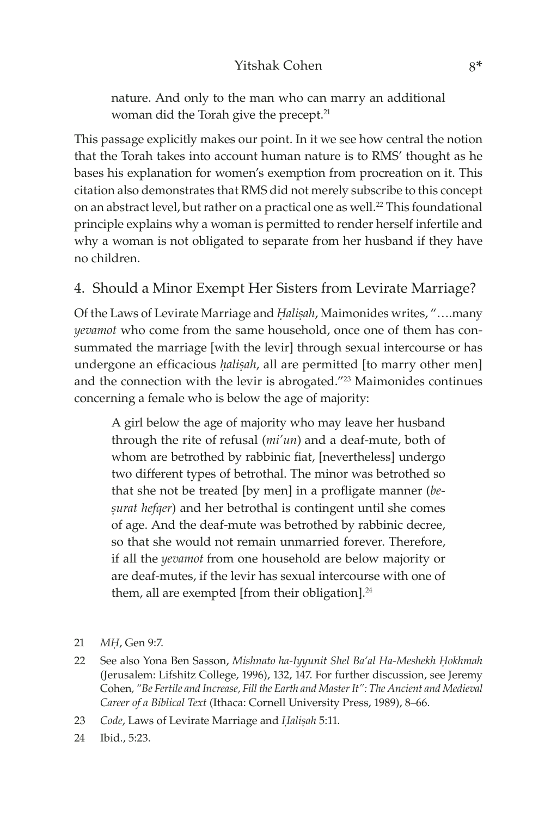#### Yitshak Cohen 8\*

nature. And only to the man who can marry an additional woman did the Torah give the precept.<sup>21</sup>

This passage explicitly makes our point. In it we see how central the notion that the Torah takes into account human nature is to RMS' thought as he bases his explanation for women's exemption from procreation on it. This citation also demonstrates that RMS did not merely subscribe to this concept on an abstract level, but rather on a practical one as well.<sup>22</sup> This foundational principle explains why a woman is permitted to render herself infertile and why a woman is not obligated to separate from her husband if they have no children.

#### 4. Should a Minor Exempt Her Sisters from Levirate Marriage?

Of the Laws of Levirate Marriage and *Ḥaliṣah*, Maimonides writes, "….many *yevamot* who come from the same household, once one of them has consummated the marriage [with the levir] through sexual intercourse or has undergone an efficacious *ḥaliṣah*, all are permitted [to marry other men] and the connection with the levir is abrogated."<sup>23</sup> Maimonides continues concerning a female who is below the age of majority:

A girl below the age of majority who may leave her husband through the rite of refusal (*mi'un*) and a deaf-mute, both of whom are betrothed by rabbinic fiat, [nevertheless] undergo two different types of betrothal. The minor was betrothed so that she not be treated [by men] in a profligate manner (*beṣurat hefqer*) and her betrothal is contingent until she comes of age. And the deaf-mute was betrothed by rabbinic decree, so that she would not remain unmarried forever. Therefore, if all the *yevamot* from one household are below majority or are deaf-mutes, if the levir has sexual intercourse with one of them, all are exempted [from their obligation]. $^{24}$ 

- 21 *MH*, Gen 9:7.
- 22 See also Yona Ben Sasson, *Mishnato ha-Iyyunit Shel Ba'al Ha-Meshekh Êokhmah* (Jerusalem: Lifshitz College, 1996), 132, 147. For further discussion, see Jeremy Cohen*, "Be Fertile and Increase, Fill the Earth and Master It": The Ancient and Medieval Career of a Biblical Text* (Ithaca: Cornell University Press, 1989), 8–66.
- 23 *Code*, Laws of Levirate Marriage and *Halisah* 5:11.
- 24 Ibid., 5:23.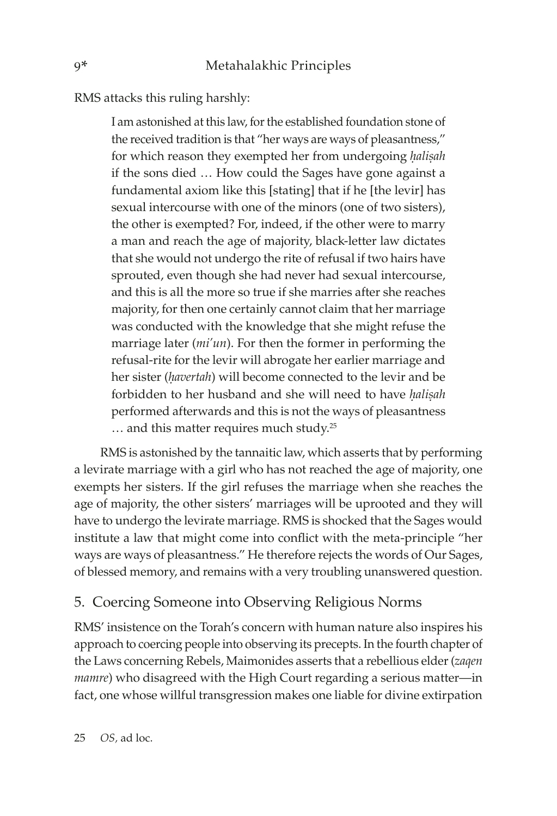RMS attacks this ruling harshly:

I am astonished at this law, for the established foundation stone of the received tradition is that "her ways are ways of pleasantness," for which reason they exempted her from undergoing *halisah* if the sons died … How could the Sages have gone against a fundamental axiom like this [stating] that if he [the levir] has sexual intercourse with one of the minors (one of two sisters), the other is exempted? For, indeed, if the other were to marry a man and reach the age of majority, black-letter law dictates that she would not undergo the rite of refusal if two hairs have sprouted, even though she had never had sexual intercourse, and this is all the more so true if she marries after she reaches majority, for then one certainly cannot claim that her marriage was conducted with the knowledge that she might refuse the marriage later (*mi'un*). For then the former in performing the refusal-rite for the levir will abrogate her earlier marriage and her sister (*ḥavertah*) will become connected to the levir and be forbidden to her husband and she will need to have *halisah* performed afterwards and this is not the ways of pleasantness … and this matter requires much study.25

RMS is astonished by the tannaitic law, which asserts that by performing a levirate marriage with a girl who has not reached the age of majority, one exempts her sisters. If the girl refuses the marriage when she reaches the age of majority, the other sisters' marriages will be uprooted and they will have to undergo the levirate marriage. RMS is shocked that the Sages would institute a law that might come into conflict with the meta-principle "her ways are ways of pleasantness." He therefore rejects the words of Our Sages, of blessed memory, and remains with a very troubling unanswered question.

### 5. Coercing Someone into Observing Religious Norms

RMS' insistence on the Torah's concern with human nature also inspires his approach to coercing people into observing its precepts. In the fourth chapter of the Laws concerning Rebels, Maimonides asserts that a rebellious elder (*zaqen mamre*) who disagreed with the High Court regarding a serious matter—in fact, one whose willful transgression makes one liable for divine extirpation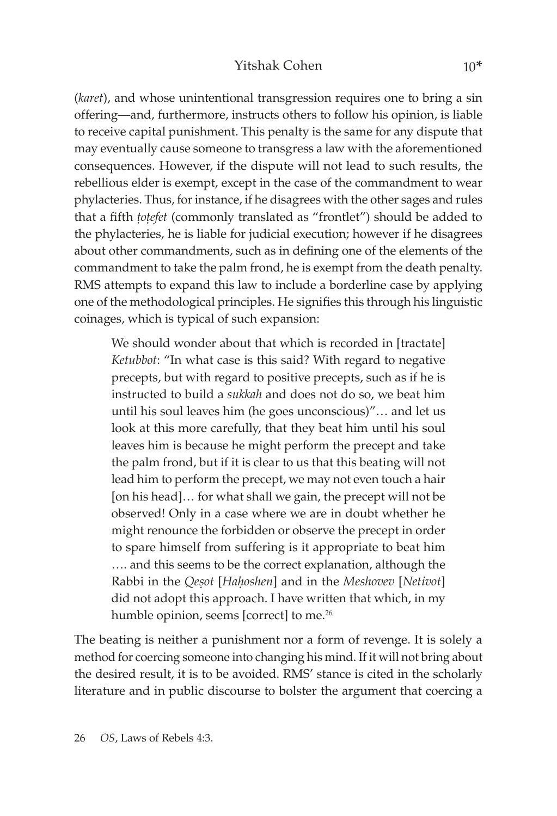(*karet*), and whose unintentional transgression requires one to bring a sin offering—and, furthermore, instructs others to follow his opinion, is liable to receive capital punishment. This penalty is the same for any dispute that may eventually cause someone to transgress a law with the aforementioned consequences. However, if the dispute will not lead to such results, the rebellious elder is exempt, except in the case of the commandment to wear phylacteries. Thus, for instance, if he disagrees with the other sages and rules that a fifth *ûoûefet* (commonly translated as "frontlet") should be added to the phylacteries, he is liable for judicial execution; however if he disagrees about other commandments, such as in defining one of the elements of the commandment to take the palm frond, he is exempt from the death penalty. RMS attempts to expand this law to include a borderline case by applying one of the methodological principles. He signifies this through his linguistic coinages, which is typical of such expansion:

We should wonder about that which is recorded in [tractate] *Ketubbot*: "In what case is this said? With regard to negative precepts, but with regard to positive precepts, such as if he is instructed to build a *sukkah* and does not do so, we beat him until his soul leaves him (he goes unconscious)"… and let us look at this more carefully, that they beat him until his soul leaves him is because he might perform the precept and take the palm frond, but if it is clear to us that this beating will not lead him to perform the precept, we may not even touch a hair [on his head]… for what shall we gain, the precept will not be observed! Only in a case where we are in doubt whether he might renounce the forbidden or observe the precept in order to spare himself from suffering is it appropriate to beat him …. and this seems to be the correct explanation, although the Rabbi in the *Qeṣot* [*Haêoshen*] and in the *Meshovev* [*Netivot*] did not adopt this approach. I have written that which, in my humble opinion, seems [correct] to me.<sup>26</sup>

The beating is neither a punishment nor a form of revenge. It is solely a method for coercing someone into changing his mind. If it will not bring about the desired result, it is to be avoided. RMS' stance is cited in the scholarly literature and in public discourse to bolster the argument that coercing a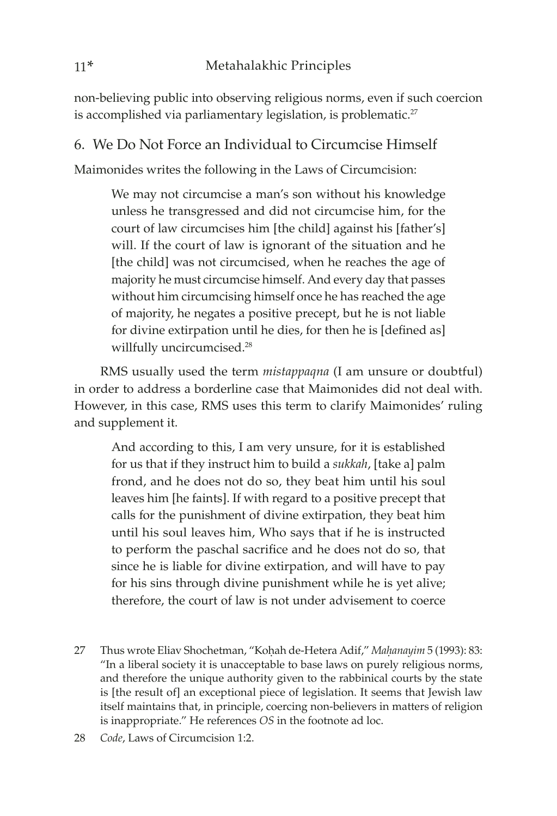non-believing public into observing religious norms, even if such coercion is accomplished via parliamentary legislation, is problematic.<sup>27</sup>

### 6. We Do Not Force an Individual to Circumcise Himself

Maimonides writes the following in the Laws of Circumcision:

We may not circumcise a man's son without his knowledge unless he transgressed and did not circumcise him, for the court of law circumcises him [the child] against his [father's] will. If the court of law is ignorant of the situation and he [the child] was not circumcised, when he reaches the age of majority he must circumcise himself. And every day that passes without him circumcising himself once he has reached the age of majority, he negates a positive precept, but he is not liable for divine extirpation until he dies, for then he is [defined as] willfully uncircumcised.<sup>28</sup>

RMS usually used the term *mistappaqna* (I am unsure or doubtful) in order to address a borderline case that Maimonides did not deal with. However, in this case, RMS uses this term to clarify Maimonides' ruling and supplement it.

And according to this, I am very unsure, for it is established for us that if they instruct him to build a *sukkah*, [take a] palm frond, and he does not do so, they beat him until his soul leaves him [he faints]. If with regard to a positive precept that calls for the punishment of divine extirpation, they beat him until his soul leaves him, Who says that if he is instructed to perform the paschal sacrifice and he does not do so, that since he is liable for divine extirpation, and will have to pay for his sins through divine punishment while he is yet alive; therefore, the court of law is not under advisement to coerce

27 Thus wrote Eliav Shochetman, "Koḥah de-Hetera Adif," *Maḥanayim* 5 (1993): 83: "In a liberal society it is unacceptable to base laws on purely religious norms, and therefore the unique authority given to the rabbinical courts by the state is [the result of] an exceptional piece of legislation. It seems that Jewish law itself maintains that, in principle, coercing non-believers in matters of religion is inappropriate." He references *OS* in the footnote ad loc.

<sup>28</sup> *Code*, Laws of Circumcision 1:2.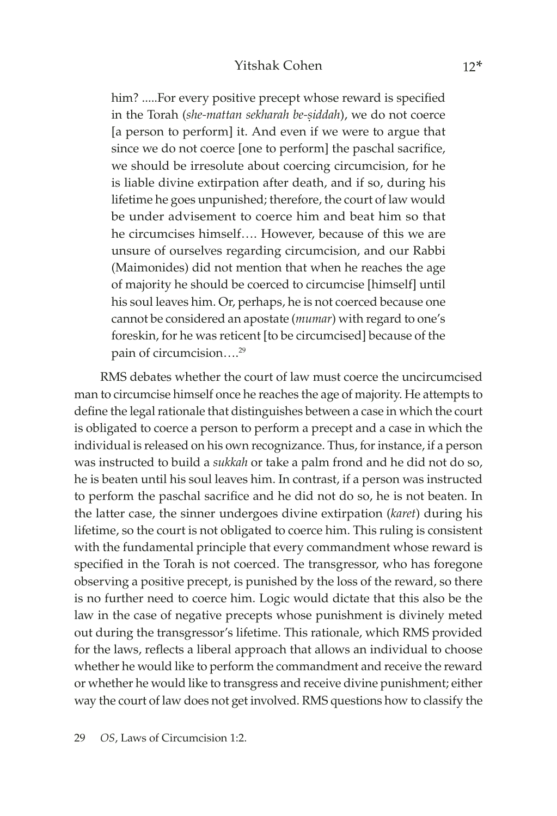#### Yitshak Cohen 12\*

him? .....For every positive precept whose reward is specified in the Torah (*she-mattan sekharah be-úiddah*), we do not coerce [a person to perform] it. And even if we were to argue that since we do not coerce [one to perform] the paschal sacrifice, we should be irresolute about coercing circumcision, for he is liable divine extirpation after death, and if so, during his lifetime he goes unpunished; therefore, the court of law would be under advisement to coerce him and beat him so that he circumcises himself…. However, because of this we are unsure of ourselves regarding circumcision, and our Rabbi (Maimonides) did not mention that when he reaches the age of majority he should be coerced to circumcise [himself] until his soul leaves him. Or, perhaps, he is not coerced because one cannot be considered an apostate (*mumar*) with regard to one's foreskin, for he was reticent [to be circumcised] because of the pain of circumcision….29

RMS debates whether the court of law must coerce the uncircumcised man to circumcise himself once he reaches the age of majority. He attempts to define the legal rationale that distinguishes between a case in which the court is obligated to coerce a person to perform a precept and a case in which the individual is released on his own recognizance. Thus, for instance, if a person was instructed to build a *sukkah* or take a palm frond and he did not do so, he is beaten until his soul leaves him. In contrast, if a person was instructed to perform the paschal sacrifice and he did not do so, he is not beaten. In the latter case, the sinner undergoes divine extirpation (*karet*) during his lifetime, so the court is not obligated to coerce him. This ruling is consistent with the fundamental principle that every commandment whose reward is specified in the Torah is not coerced. The transgressor, who has foregone observing a positive precept, is punished by the loss of the reward, so there is no further need to coerce him. Logic would dictate that this also be the law in the case of negative precepts whose punishment is divinely meted out during the transgressor's lifetime. This rationale, which RMS provided for the laws, reflects a liberal approach that allows an individual to choose whether he would like to perform the commandment and receive the reward or whether he would like to transgress and receive divine punishment; either way the court of law does not get involved. RMS questions how to classify the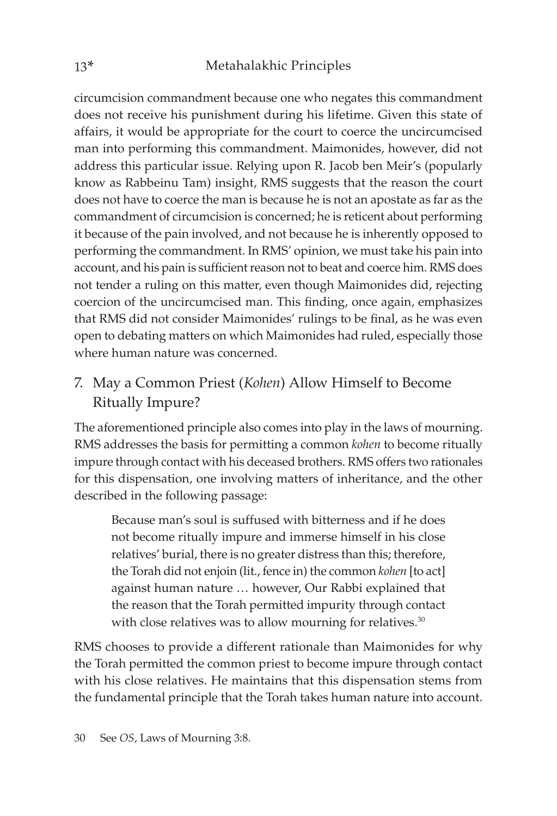circumcision commandment because one who negates this commandment does not receive his punishment during his lifetime. Given this state of affairs, it would be appropriate for the court to coerce the uncircumcised man into performing this commandment. Maimonides, however, did not address this particular issue. Relying upon R. Jacob ben Meir's (popularly know as Rabbeinu Tam) insight, RMS suggests that the reason the court does not have to coerce the man is because he is not an apostate as far as the commandment of circumcision is concerned; he is reticent about performing it because of the pain involved, and not because he is inherently opposed to performing the commandment. In RMS' opinion, we must take his pain into account, and his pain is sufficient reason not to beat and coerce him. RMS does not tender a ruling on this matter, even though Maimonides did, rejecting coercion of the uncircumcised man. This finding, once again, emphasizes that RMS did not consider Maimonides' rulings to be final, as he was even open to debating matters on which Maimonides had ruled, especially those where human nature was concerned.

## 7. May a Common Priest (*Kohen*) Allow Himself to Become Ritually Impure?

The aforementioned principle also comes into play in the laws of mourning. RMS addresses the basis for permitting a common *kohen* to become ritually impure through contact with his deceased brothers. RMS offers two rationales for this dispensation, one involving matters of inheritance, and the other described in the following passage:

Because man's soul is suffused with bitterness and if he does not become ritually impure and immerse himself in his close relatives' burial, there is no greater distress than this; therefore, the Torah did not enjoin (lit., fence in) the common *kohen* [to act] against human nature … however, Our Rabbi explained that the reason that the Torah permitted impurity through contact with close relatives was to allow mourning for relatives.<sup>30</sup>

RMS chooses to provide a different rationale than Maimonides for why the Torah permitted the common priest to become impure through contact with his close relatives. He maintains that this dispensation stems from the fundamental principle that the Torah takes human nature into account.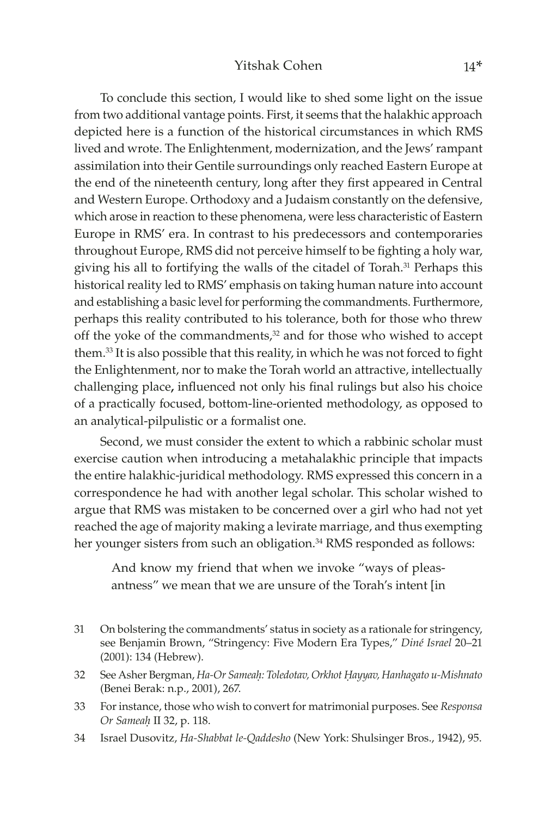To conclude this section, I would like to shed some light on the issue from two additional vantage points. First, it seems that the halakhic approach depicted here is a function of the historical circumstances in which RMS lived and wrote. The Enlightenment, modernization, and the Jews' rampant assimilation into their Gentile surroundings only reached Eastern Europe at the end of the nineteenth century, long after they first appeared in Central and Western Europe. Orthodoxy and a Judaism constantly on the defensive, which arose in reaction to these phenomena, were less characteristic of Eastern Europe in RMS' era. In contrast to his predecessors and contemporaries throughout Europe, RMS did not perceive himself to be fighting a holy war, giving his all to fortifying the walls of the citadel of Torah.<sup>31</sup> Perhaps this historical reality led to RMS' emphasis on taking human nature into account and establishing a basic level for performing the commandments. Furthermore, perhaps this reality contributed to his tolerance, both for those who threw off the yoke of the commandments, $32$  and for those who wished to accept them.33 It is also possible that this reality, in which he was not forced to fight the Enlightenment, nor to make the Torah world an attractive, intellectually challenging place**,** influenced not only his final rulings but also his choice of a practically focused, bottom-line-oriented methodology, as opposed to an analytical-pilpulistic or a formalist one.

Second, we must consider the extent to which a rabbinic scholar must exercise caution when introducing a metahalakhic principle that impacts the entire halakhic-juridical methodology. RMS expressed this concern in a correspondence he had with another legal scholar. This scholar wished to argue that RMS was mistaken to be concerned over a girl who had not yet reached the age of majority making a levirate marriage, and thus exempting her younger sisters from such an obligation.<sup>34</sup> RMS responded as follows:

And know my friend that when we invoke "ways of pleasantness" we mean that we are unsure of the Torah's intent [in

- 33 For instance, those who wish to convert for matrimonial purposes. See *Responsa Or Sameaê* II 32, p. 118.
- 34 Israel Dusovitz, *Ha-Shabbat le-Qaddesho* (New York: Shulsinger Bros., 1942), 95.

<sup>31</sup> On bolstering the commandments' status in society as a rationale for stringency, see Benjamin Brown, "Stringency: Five Modern Era Types," *Diné Israel* 20–21 (2001): 134 (Hebrew).

<sup>32</sup> See Asher Bergman, *Ha-Or Sameaê: Toledotav, Orkhot Êayyav, Hanhagato u-Mishnato* (Benei Berak: n.p., 2001), 267.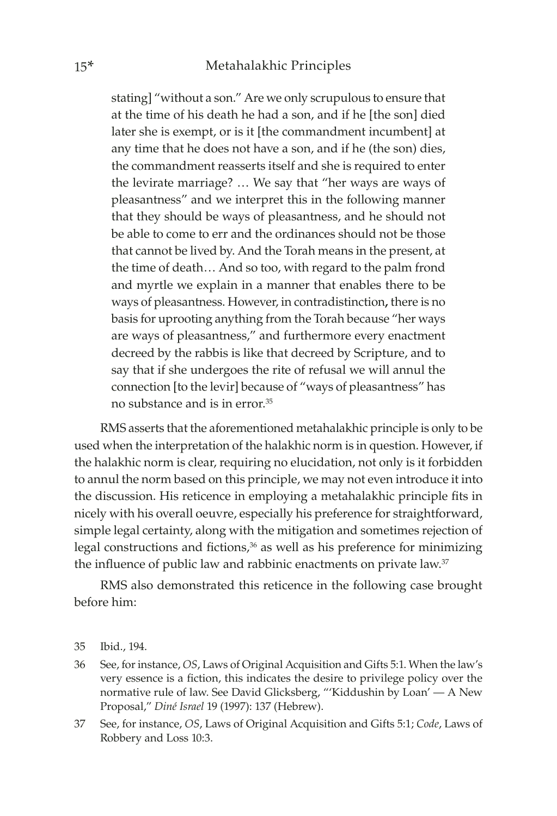stating] "without a son." Are we only scrupulous to ensure that at the time of his death he had a son, and if he [the son] died later she is exempt, or is it [the commandment incumbent] at any time that he does not have a son, and if he (the son) dies, the commandment reasserts itself and she is required to enter the levirate marriage? … We say that "her ways are ways of pleasantness" and we interpret this in the following manner that they should be ways of pleasantness, and he should not be able to come to err and the ordinances should not be those that cannot be lived by. And the Torah means in the present, at the time of death… And so too, with regard to the palm frond and myrtle we explain in a manner that enables there to be ways of pleasantness. However, in contradistinction**,** there is no basis for uprooting anything from the Torah because "her ways are ways of pleasantness," and furthermore every enactment decreed by the rabbis is like that decreed by Scripture, and to say that if she undergoes the rite of refusal we will annul the connection [to the levir] because of "ways of pleasantness" has no substance and is in error.35

RMS asserts that the aforementioned metahalakhic principle is only to be used when the interpretation of the halakhic norm is in question. However, if the halakhic norm is clear, requiring no elucidation, not only is it forbidden to annul the norm based on this principle, we may not even introduce it into the discussion. His reticence in employing a metahalakhic principle fits in nicely with his overall oeuvre, especially his preference for straightforward, simple legal certainty, along with the mitigation and sometimes rejection of legal constructions and fictions, $36$  as well as his preference for minimizing the influence of public law and rabbinic enactments on private law.<sup>37</sup>

RMS also demonstrated this reticence in the following case brought before him:

<sup>35</sup> Ibid., 194.

<sup>36</sup> See, for instance, *OS*, Laws of Original Acquisition and Gifts 5:1. When the law's very essence is a fiction, this indicates the desire to privilege policy over the normative rule of law. See David Glicksberg, "'Kiddushin by Loan' — A New Proposal," *Diné Israel* 19 (1997): 137 (Hebrew).

<sup>37</sup> See, for instance, *OS*, Laws of Original Acquisition and Gifts 5:1; *Code*, Laws of Robbery and Loss 10:3.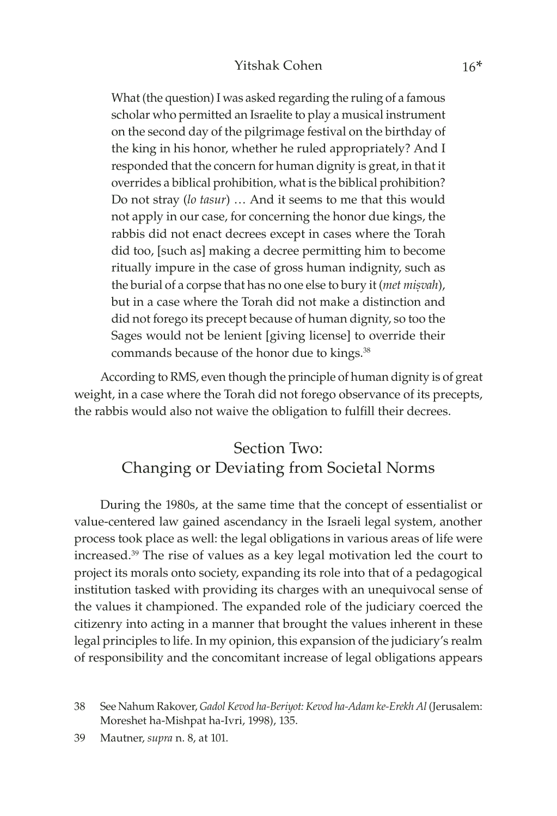What (the question) I was asked regarding the ruling of a famous scholar who permitted an Israelite to play a musical instrument on the second day of the pilgrimage festival on the birthday of the king in his honor, whether he ruled appropriately? And I responded that the concern for human dignity is great, in that it overrides a biblical prohibition, what is the biblical prohibition? Do not stray (*lo tasur*) … And it seems to me that this would not apply in our case, for concerning the honor due kings, the rabbis did not enact decrees except in cases where the Torah did too, [such as] making a decree permitting him to become ritually impure in the case of gross human indignity, such as the burial of a corpse that has no one else to bury it (*met miúvah*), but in a case where the Torah did not make a distinction and did not forego its precept because of human dignity, so too the Sages would not be lenient [giving license] to override their commands because of the honor due to kings.<sup>38</sup>

According to RMS, even though the principle of human dignity is of great weight, in a case where the Torah did not forego observance of its precepts, the rabbis would also not waive the obligation to fulfill their decrees.

# Section Two: Changing or Deviating from Societal Norms

During the 1980s, at the same time that the concept of essentialist or value-centered law gained ascendancy in the Israeli legal system, another process took place as well: the legal obligations in various areas of life were increased.39 The rise of values as a key legal motivation led the court to project its morals onto society, expanding its role into that of a pedagogical institution tasked with providing its charges with an unequivocal sense of the values it championed. The expanded role of the judiciary coerced the citizenry into acting in a manner that brought the values inherent in these legal principles to life. In my opinion, this expansion of the judiciary's realm of responsibility and the concomitant increase of legal obligations appears

<sup>38</sup> See Nahum Rakover, *Gadol Kevod ha-Beriyot: Kevod ha-Adam ke-Erekh Al* (Jerusalem: Moreshet ha-Mishpat ha-Ivri, 1998), 135.

<sup>39</sup> Mautner, *supra* n. 8, at 101.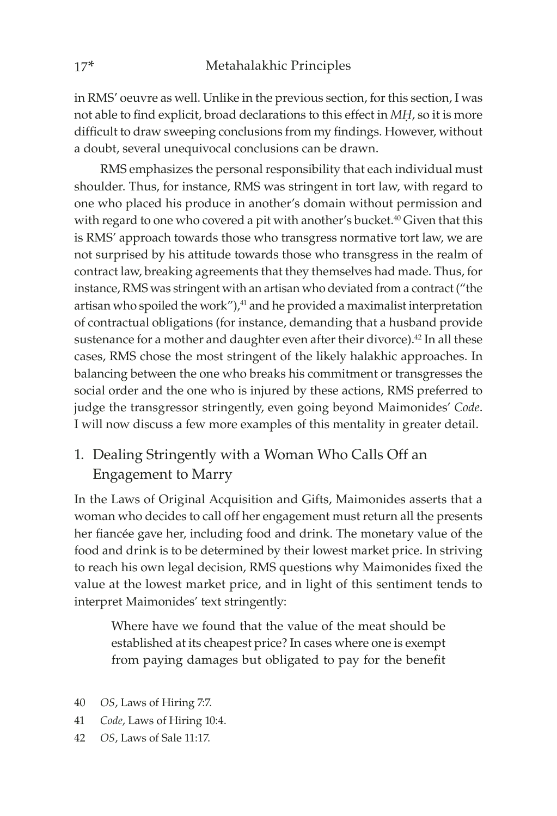in RMS' oeuvre as well. Unlike in the previous section, for this section, I was not able to find explicit, broad declarations to this effect in  $MH$ , so it is more difficult to draw sweeping conclusions from my findings. However, without a doubt, several unequivocal conclusions can be drawn.

RMS emphasizes the personal responsibility that each individual must shoulder. Thus, for instance, RMS was stringent in tort law, with regard to one who placed his produce in another's domain without permission and with regard to one who covered a pit with another's bucket.<sup>40</sup> Given that this is RMS' approach towards those who transgress normative tort law, we are not surprised by his attitude towards those who transgress in the realm of contract law, breaking agreements that they themselves had made. Thus, for instance, RMS was stringent with an artisan who deviated from a contract ("the artisan who spoiled the work"), $^{41}$  and he provided a maximalist interpretation of contractual obligations (for instance, demanding that a husband provide sustenance for a mother and daughter even after their divorce).<sup>42</sup> In all these cases, RMS chose the most stringent of the likely halakhic approaches. In balancing between the one who breaks his commitment or transgresses the social order and the one who is injured by these actions, RMS preferred to judge the transgressor stringently, even going beyond Maimonides' *Code*. I will now discuss a few more examples of this mentality in greater detail.

### 1. Dealing Stringently with a Woman Who Calls Off an Engagement to Marry

In the Laws of Original Acquisition and Gifts, Maimonides asserts that a woman who decides to call off her engagement must return all the presents her fiancée gave her, including food and drink. The monetary value of the food and drink is to be determined by their lowest market price. In striving to reach his own legal decision, RMS questions why Maimonides fixed the value at the lowest market price, and in light of this sentiment tends to interpret Maimonides' text stringently:

Where have we found that the value of the meat should be established at its cheapest price? In cases where one is exempt from paying damages but obligated to pay for the benefit

- 40 *OS*, Laws of Hiring 7:7.
- 41 *Code*, Laws of Hiring 10:4.
- 42 *OS*, Laws of Sale 11:17.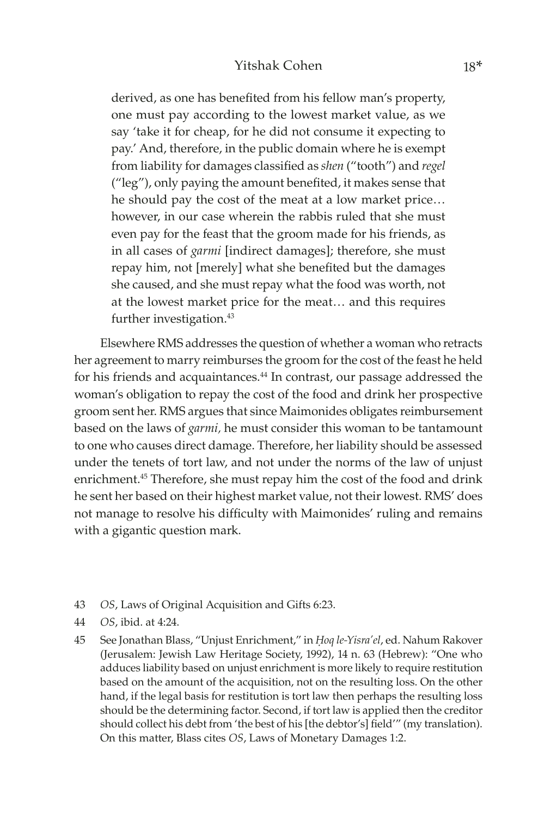#### Yitshak Cohen 18\*

derived, as one has benefited from his fellow man's property, one must pay according to the lowest market value, as we say 'take it for cheap, for he did not consume it expecting to pay.' And, therefore, in the public domain where he is exempt from liability for damages classified as *shen* ("tooth") and *regel*  ("leg"), only paying the amount benefited, it makes sense that he should pay the cost of the meat at a low market price… however, in our case wherein the rabbis ruled that she must even pay for the feast that the groom made for his friends, as in all cases of *garmi* [indirect damages]; therefore, she must repay him, not [merely] what she benefited but the damages she caused, and she must repay what the food was worth, not at the lowest market price for the meat… and this requires further investigation.<sup>43</sup>

Elsewhere RMS addresses the question of whether a woman who retracts her agreement to marry reimburses the groom for the cost of the feast he held for his friends and acquaintances.<sup>44</sup> In contrast, our passage addressed the woman's obligation to repay the cost of the food and drink her prospective groom sent her. RMS argues that since Maimonides obligates reimbursement based on the laws of *garmi,* he must consider this woman to be tantamount to one who causes direct damage. Therefore, her liability should be assessed under the tenets of tort law, and not under the norms of the law of unjust enrichment.<sup>45</sup> Therefore, she must repay him the cost of the food and drink he sent her based on their highest market value, not their lowest. RMS' does not manage to resolve his difficulty with Maimonides' ruling and remains with a gigantic question mark.

- 43 *OS*, Laws of Original Acquisition and Gifts 6:23.
- 44 *OS*, ibid. at 4:24.
- 45 See Jonathan Blass, "Unjust Enrichment," in *Ḥoq le-Yisra'el*, ed. Nahum Rakover (Jerusalem: Jewish Law Heritage Society, 1992), 14 n. 63 (Hebrew): "One who adduces liability based on unjust enrichment is more likely to require restitution based on the amount of the acquisition, not on the resulting loss. On the other hand, if the legal basis for restitution is tort law then perhaps the resulting loss should be the determining factor. Second, if tort law is applied then the creditor should collect his debt from 'the best of his [the debtor's] field'" (my translation). On this matter, Blass cites *OS*, Laws of Monetary Damages 1:2.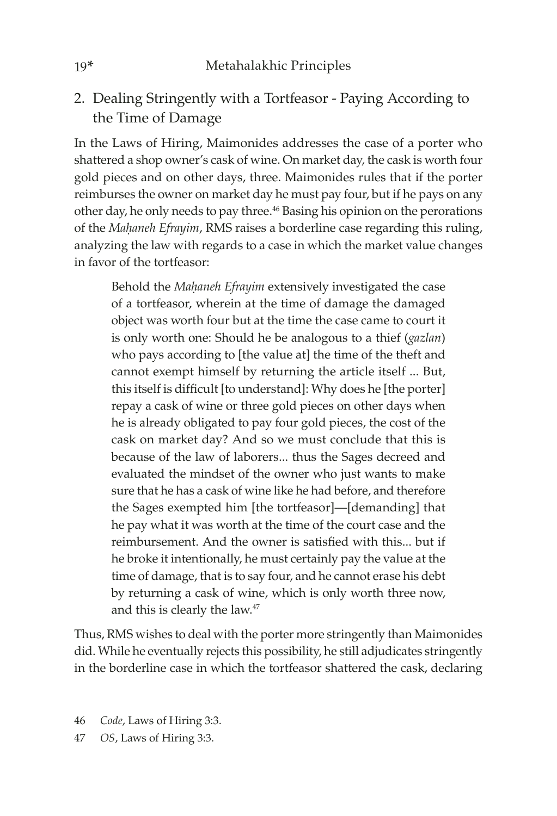2. Dealing Stringently with a Tortfeasor - Paying According to the Time of Damage

In the Laws of Hiring, Maimonides addresses the case of a porter who shattered a shop owner's cask of wine. On market day, the cask is worth four gold pieces and on other days, three. Maimonides rules that if the porter reimburses the owner on market day he must pay four, but if he pays on any other day, he only needs to pay three.<sup>46</sup> Basing his opinion on the perorations of the *Mahaneh Efrayim*, RMS raises a borderline case regarding this ruling, analyzing the law with regards to a case in which the market value changes in favor of the tortfeasor:

Behold the *Mahaneh Efrayim* extensively investigated the case of a tortfeasor, wherein at the time of damage the damaged object was worth four but at the time the case came to court it is only worth one: Should he be analogous to a thief (*gazlan*) who pays according to [the value at] the time of the theft and cannot exempt himself by returning the article itself ... But, this itself is difficult [to understand]: Why does he [the porter] repay a cask of wine or three gold pieces on other days when he is already obligated to pay four gold pieces, the cost of the cask on market day? And so we must conclude that this is because of the law of laborers... thus the Sages decreed and evaluated the mindset of the owner who just wants to make sure that he has a cask of wine like he had before, and therefore the Sages exempted him [the tortfeasor]—[demanding] that he pay what it was worth at the time of the court case and the reimbursement. And the owner is satisfied with this... but if he broke it intentionally, he must certainly pay the value at the time of damage, that is to say four, and he cannot erase his debt by returning a cask of wine, which is only worth three now, and this is clearly the law.47

Thus, RMS wishes to deal with the porter more stringently than Maimonides did. While he eventually rejects this possibility, he still adjudicates stringently in the borderline case in which the tortfeasor shattered the cask, declaring

- 46 *Code*, Laws of Hiring 3:3.
- 47 *OS*, Laws of Hiring 3:3.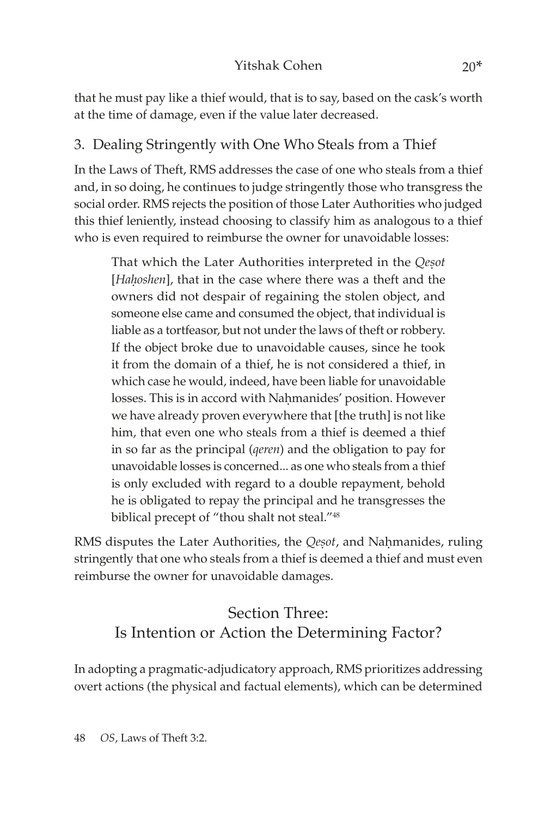that he must pay like a thief would, that is to say, based on the cask's worth at the time of damage, even if the value later decreased.

# 3. Dealing Stringently with One Who Steals from a Thief

In the Laws of Theft, RMS addresses the case of one who steals from a thief and, in so doing, he continues to judge stringently those who transgress the social order. RMS rejects the position of those Later Authorities who judged this thief leniently, instead choosing to classify him as analogous to a thief who is even required to reimburse the owner for unavoidable losses:

That which the Later Authorities interpreted in the *Qeṣot* [*Hahoshen*], that in the case where there was a theft and the owners did not despair of regaining the stolen object, and someone else came and consumed the object, that individual is liable as a tortfeasor, but not under the laws of theft or robbery. If the object broke due to unavoidable causes, since he took it from the domain of a thief, he is not considered a thief, in which case he would, indeed, have been liable for unavoidable losses. This is in accord with Nahmanides' position. However we have already proven everywhere that [the truth] is not like him, that even one who steals from a thief is deemed a thief in so far as the principal (*qeren*) and the obligation to pay for unavoidable losses is concerned... as one who steals from a thief is only excluded with regard to a double repayment, behold he is obligated to repay the principal and he transgresses the biblical precept of "thou shalt not steal."48

RMS disputes the Later Authorities, the *Qesot*, and Nahmanides, ruling stringently that one who steals from a thief is deemed a thief and must even reimburse the owner for unavoidable damages.

# Section Three: Is Intention or Action the Determining Factor?

In adopting a pragmatic-adjudicatory approach, RMS prioritizes addressing overt actions (the physical and factual elements), which can be determined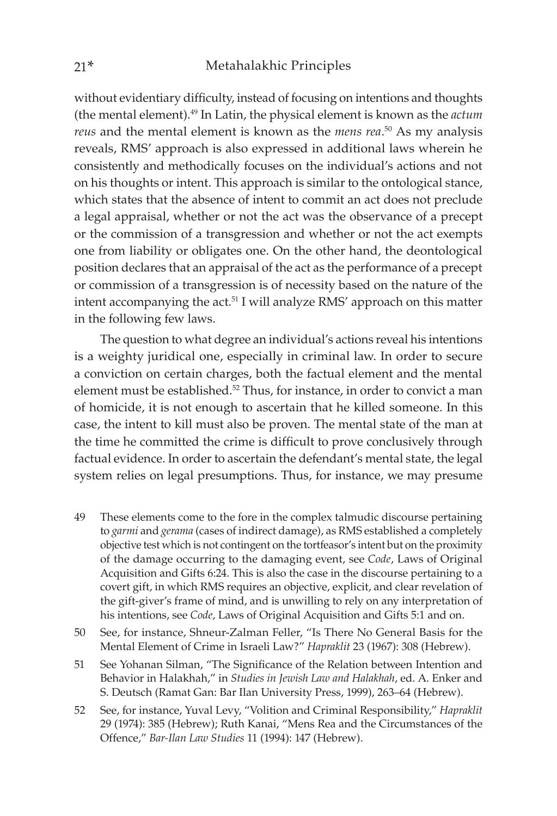without evidentiary difficulty, instead of focusing on intentions and thoughts (the mental element).49 In Latin, the physical element is known as the *actum reus* and the mental element is known as the *mens rea*. 50 As my analysis reveals, RMS' approach is also expressed in additional laws wherein he consistently and methodically focuses on the individual's actions and not on his thoughts or intent. This approach is similar to the ontological stance, which states that the absence of intent to commit an act does not preclude a legal appraisal, whether or not the act was the observance of a precept or the commission of a transgression and whether or not the act exempts one from liability or obligates one. On the other hand, the deontological position declares that an appraisal of the act as the performance of a precept or commission of a transgression is of necessity based on the nature of the intent accompanying the act.<sup>51</sup> I will analyze RMS' approach on this matter in the following few laws.

The question to what degree an individual's actions reveal his intentions is a weighty juridical one, especially in criminal law. In order to secure a conviction on certain charges, both the factual element and the mental element must be established.<sup>52</sup> Thus, for instance, in order to convict a man of homicide, it is not enough to ascertain that he killed someone. In this case, the intent to kill must also be proven. The mental state of the man at the time he committed the crime is difficult to prove conclusively through factual evidence. In order to ascertain the defendant's mental state, the legal system relies on legal presumptions. Thus, for instance, we may presume

- 49 These elements come to the fore in the complex talmudic discourse pertaining to *garmi* and *gerama* (cases of indirect damage), as RMS established a completely objective test which is not contingent on the tortfeasor's intent but on the proximity of the damage occurring to the damaging event, see *Code*, Laws of Original Acquisition and Gifts 6:24. This is also the case in the discourse pertaining to a covert gift, in which RMS requires an objective, explicit, and clear revelation of the gift-giver's frame of mind, and is unwilling to rely on any interpretation of his intentions, see *Code*, Laws of Original Acquisition and Gifts 5:1 and on.
- 50 See, for instance, Shneur-Zalman Feller, "Is There No General Basis for the Mental Element of Crime in Israeli Law?" *Hapraklit* 23 (1967): 308 (Hebrew).
- 51 See Yohanan Silman, "The Significance of the Relation between Intention and Behavior in Halakhah," in *Studies in Jewish Law and Halakhah*, ed. A. Enker and S. Deutsch (Ramat Gan: Bar Ilan University Press, 1999), 263–64 (Hebrew).
- 52 See, for instance, Yuval Levy, "Volition and Criminal Responsibility," *Hapraklit*  29 (1974): 385 (Hebrew); Ruth Kanai, "Mens Rea and the Circumstances of the Offence," *Bar-Ilan Law Studies* 11 (1994): 147 (Hebrew).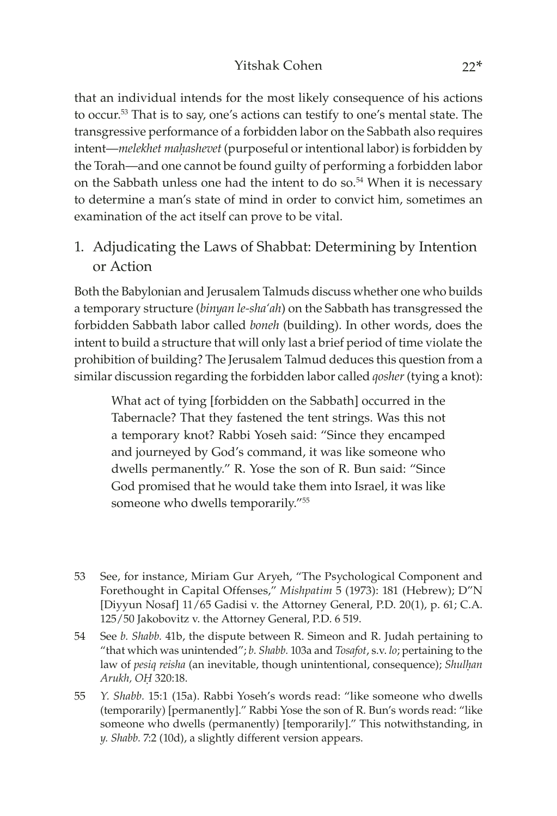#### Yitshak Cohen 22\*

that an individual intends for the most likely consequence of his actions to occur.53 That is to say, one's actions can testify to one's mental state. The transgressive performance of a forbidden labor on the Sabbath also requires intent—*melekhet maḥashevet* (purposeful or intentional labor) is forbidden by the Torah—and one cannot be found guilty of performing a forbidden labor on the Sabbath unless one had the intent to do so.<sup>54</sup> When it is necessary to determine a man's state of mind in order to convict him, sometimes an examination of the act itself can prove to be vital.

1. Adjudicating the Laws of Shabbat: Determining by Intention or Action

Both the Babylonian and Jerusalem Talmuds discuss whether one who builds a temporary structure (*binyan le-sha'ah*) on the Sabbath has transgressed the forbidden Sabbath labor called *boneh* (building). In other words, does the intent to build a structure that will only last a brief period of time violate the prohibition of building? The Jerusalem Talmud deduces this question from a similar discussion regarding the forbidden labor called *qosher* (tying a knot):

What act of tying [forbidden on the Sabbath] occurred in the Tabernacle? That they fastened the tent strings. Was this not a temporary knot? Rabbi Yoseh said: "Since they encamped and journeyed by God's command, it was like someone who dwells permanently." R. Yose the son of R. Bun said: "Since God promised that he would take them into Israel, it was like someone who dwells temporarily."55

- 53 See, for instance, Miriam Gur Aryeh, "The Psychological Component and Forethought in Capital Offenses," *Mishpatim* 5 (1973): 181 (Hebrew); D"N [Diyyun Nosaf] 11/65 Gadisi v. the Attorney General, P.D. 20(1), p. 61; C.A. 125/50 Jakobovitz v. the Attorney General, P.D. 6 519.
- 54 See *b. Shabb.* 41b, the dispute between R. Simeon and R. Judah pertaining to "that which was unintended"; *b. Shabb.* 103a and *Tosafot*, s.v. *lo*; pertaining to the law of *pesiq reisha* (an inevitable, though unintentional, consequence); *Shulḥan Arukh, OḤ* 320:18.
- 55 *Y. Shabb.* 15:1 (15a). Rabbi Yoseh's words read: "like someone who dwells (temporarily) [permanently]." Rabbi Yose the son of R. Bun's words read: "like someone who dwells (permanently) [temporarily]." This notwithstanding, in *y. Shabb.* 7:2 (10d), a slightly different version appears.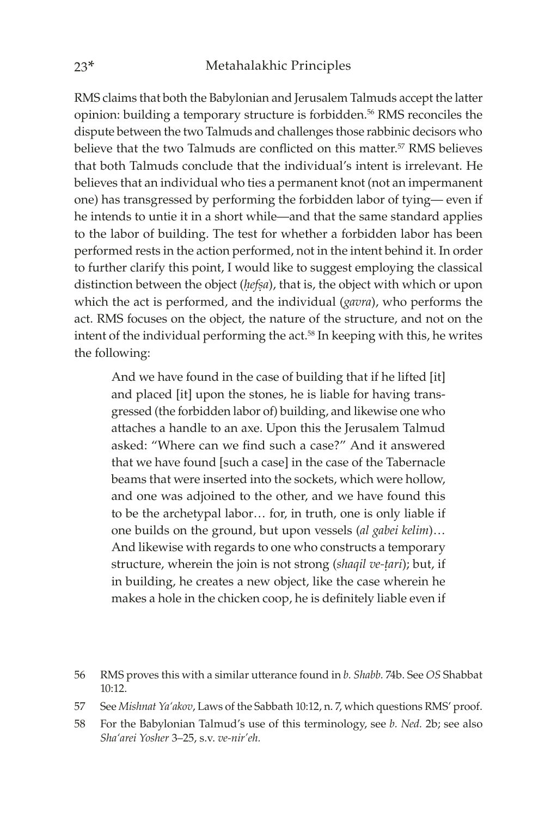RMS claims that both the Babylonian and Jerusalem Talmuds accept the latter opinion: building a temporary structure is forbidden.<sup>56</sup> RMS reconciles the dispute between the two Talmuds and challenges those rabbinic decisors who believe that the two Talmuds are conflicted on this matter.<sup>57</sup> RMS believes that both Talmuds conclude that the individual's intent is irrelevant. He believes that an individual who ties a permanent knot (not an impermanent one) has transgressed by performing the forbidden labor of tying— even if he intends to untie it in a short while—and that the same standard applies to the labor of building. The test for whether a forbidden labor has been performed rests in the action performed, not in the intent behind it. In order to further clarify this point, I would like to suggest employing the classical distinction between the object (*hefsa*), that is, the object with which or upon which the act is performed, and the individual (*gavra*), who performs the act. RMS focuses on the object, the nature of the structure, and not on the intent of the individual performing the act.<sup>58</sup> In keeping with this, he writes the following:

And we have found in the case of building that if he lifted [it] and placed [it] upon the stones, he is liable for having transgressed (the forbidden labor of) building, and likewise one who attaches a handle to an axe. Upon this the Jerusalem Talmud asked: "Where can we find such a case?" And it answered that we have found [such a case] in the case of the Tabernacle beams that were inserted into the sockets, which were hollow, and one was adjoined to the other, and we have found this to be the archetypal labor… for, in truth, one is only liable if one builds on the ground, but upon vessels (*al gabei kelim*)… And likewise with regards to one who constructs a temporary structure, wherein the join is not strong (shaqil ve-tari); but, if in building, he creates a new object, like the case wherein he makes a hole in the chicken coop, he is definitely liable even if

57 See *Mishnat Ya'akov*, Laws of the Sabbath 10:12, n. 7, which questions RMS' proof.

<sup>56</sup> RMS proves this with a similar utterance found in *b. Shabb.* 74b. See *OS* Shabbat 10:12.

<sup>58</sup> For the Babylonian Talmud's use of this terminology, see *b. Ned.* 2b; see also *Sha'arei Yosher* 3–25, s.v. *ve-nir'eh.*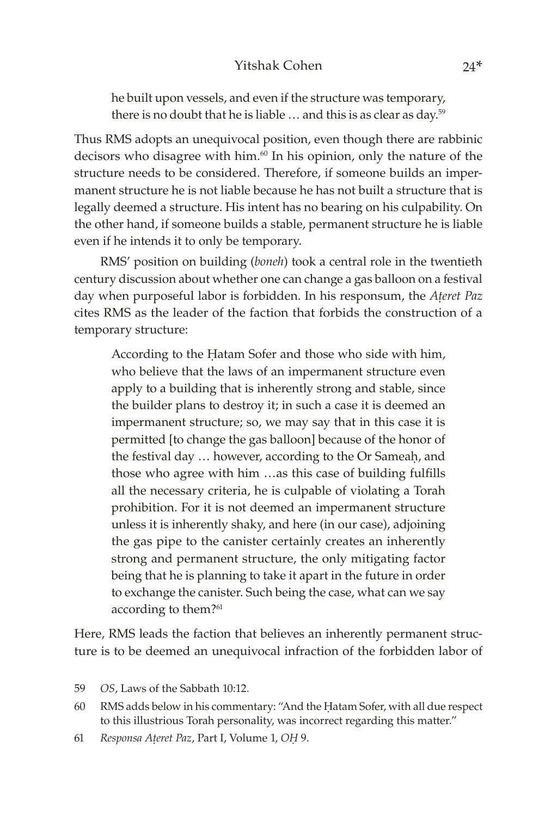he built upon vessels, and even if the structure was temporary, there is no doubt that he is liable ... and this is as clear as day.<sup>59</sup>

Thus RMS adopts an unequivocal position, even though there are rabbinic decisors who disagree with him.60 In his opinion, only the nature of the structure needs to be considered. Therefore, if someone builds an impermanent structure he is not liable because he has not built a structure that is legally deemed a structure. His intent has no bearing on his culpability. On the other hand, if someone builds a stable, permanent structure he is liable even if he intends it to only be temporary.

RMS' position on building (*boneh*) took a central role in the twentieth century discussion about whether one can change a gas balloon on a festival day when purposeful labor is forbidden. In his responsum, the Ateret Paz cites RMS as the leader of the faction that forbids the construction of a temporary structure:

According to the Ḥatam Sofer and those who side with him, who believe that the laws of an impermanent structure even apply to a building that is inherently strong and stable, since the builder plans to destroy it; in such a case it is deemed an impermanent structure; so, we may say that in this case it is permitted [to change the gas balloon] because of the honor of the festival day ... however, according to the Or Sameah, and those who agree with him …as this case of building fulfills all the necessary criteria, he is culpable of violating a Torah prohibition. For it is not deemed an impermanent structure unless it is inherently shaky, and here (in our case), adjoining the gas pipe to the canister certainly creates an inherently strong and permanent structure, the only mitigating factor being that he is planning to take it apart in the future in order to exchange the canister. Such being the case, what can we say according to them?<sup>61</sup>

Here, RMS leads the faction that believes an inherently permanent structure is to be deemed an unequivocal infraction of the forbidden labor of

- 59 *OS*, Laws of the Sabbath 10:12.
- 60 RMS adds below in his commentary: "And the Êatam Sofer, with all due respect to this illustrious Torah personality, was incorrect regarding this matter."
- 61 *Responsa Aûeret Paz*, Part I, Volume 1, *OḤ* 9.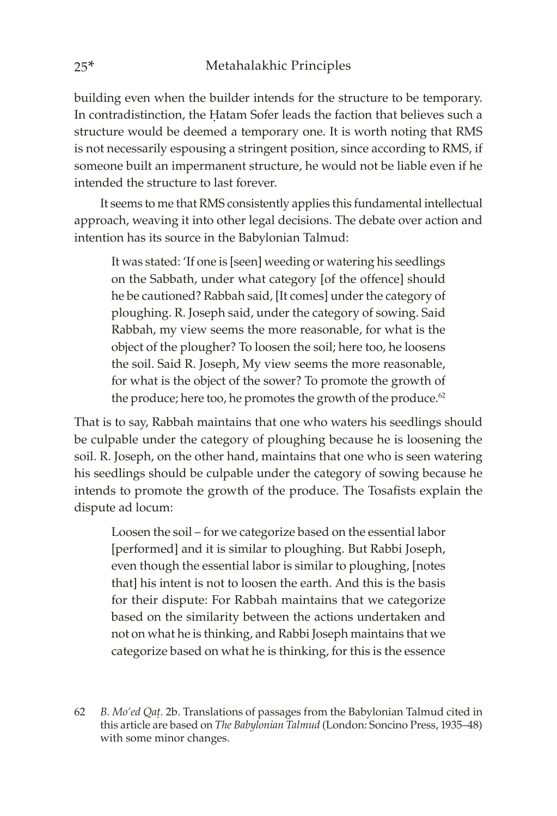building even when the builder intends for the structure to be temporary. In contradistinction, the Hatam Sofer leads the faction that believes such a structure would be deemed a temporary one. It is worth noting that RMS is not necessarily espousing a stringent position, since according to RMS, if someone built an impermanent structure, he would not be liable even if he intended the structure to last forever.

It seems to me that RMS consistently applies this fundamental intellectual approach, weaving it into other legal decisions. The debate over action and intention has its source in the Babylonian Talmud:

It was stated: 'If one is [seen] weeding or watering his seedlings on the Sabbath, under what category [of the offence] should he be cautioned? Rabbah said, [It comes] under the category of ploughing. R. Joseph said, under the category of sowing. Said Rabbah, my view seems the more reasonable, for what is the object of the plougher? To loosen the soil; here too, he loosens the soil. Said R. Joseph, My view seems the more reasonable, for what is the object of the sower? To promote the growth of the produce; here too, he promotes the growth of the produce.<sup>62</sup>

That is to say, Rabbah maintains that one who waters his seedlings should be culpable under the category of ploughing because he is loosening the soil. R. Joseph, on the other hand, maintains that one who is seen watering his seedlings should be culpable under the category of sowing because he intends to promote the growth of the produce. The Tosafists explain the dispute ad locum:

Loosen the soil – for we categorize based on the essential labor [performed] and it is similar to ploughing. But Rabbi Joseph, even though the essential labor is similar to ploughing, [notes that] his intent is not to loosen the earth. And this is the basis for their dispute: For Rabbah maintains that we categorize based on the similarity between the actions undertaken and not on what he is thinking, and Rabbi Joseph maintains that we categorize based on what he is thinking, for this is the essence

<sup>62</sup> B. Mo'ed Qat. 2b. Translations of passages from the Babylonian Talmud cited in this article are based on *The Babylonian Talmud* (London: Soncino Press, 1935–48) with some minor changes.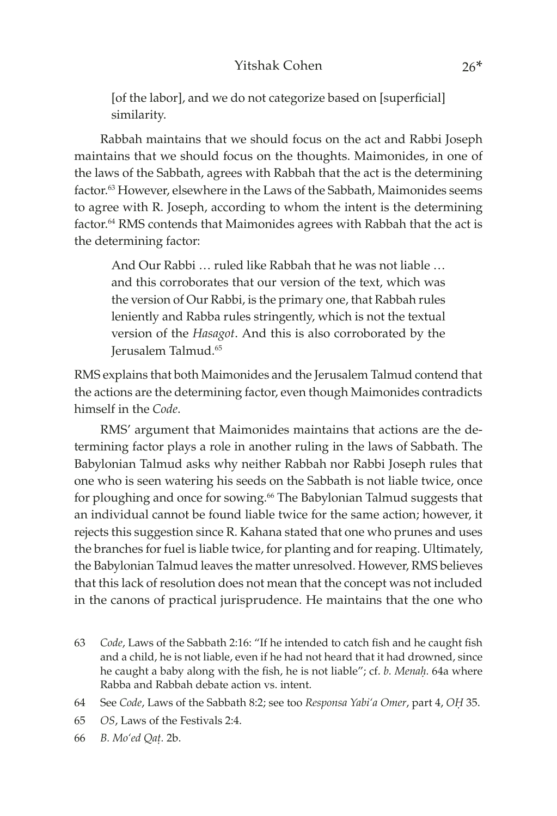[of the labor], and we do not categorize based on [superficial] similarity.

Rabbah maintains that we should focus on the act and Rabbi Joseph maintains that we should focus on the thoughts. Maimonides, in one of the laws of the Sabbath, agrees with Rabbah that the act is the determining factor.<sup>63</sup> However, elsewhere in the Laws of the Sabbath, Maimonides seems to agree with R. Joseph, according to whom the intent is the determining factor.<sup>64</sup> RMS contends that Maimonides agrees with Rabbah that the act is the determining factor:

And Our Rabbi … ruled like Rabbah that he was not liable … and this corroborates that our version of the text, which was the version of Our Rabbi, is the primary one, that Rabbah rules leniently and Rabba rules stringently, which is not the textual version of the *Hasagot*. And this is also corroborated by the Jerusalem Talmud.65

RMS explains that both Maimonides and the Jerusalem Talmud contend that the actions are the determining factor, even though Maimonides contradicts himself in the *Code*.

RMS' argument that Maimonides maintains that actions are the determining factor plays a role in another ruling in the laws of Sabbath. The Babylonian Talmud asks why neither Rabbah nor Rabbi Joseph rules that one who is seen watering his seeds on the Sabbath is not liable twice, once for ploughing and once for sowing.<sup>66</sup> The Babylonian Talmud suggests that an individual cannot be found liable twice for the same action; however, it rejects this suggestion since R. Kahana stated that one who prunes and uses the branches for fuel is liable twice, for planting and for reaping. Ultimately, the Babylonian Talmud leaves the matter unresolved. However, RMS believes that this lack of resolution does not mean that the concept was not included in the canons of practical jurisprudence. He maintains that the one who

- 63 *Code*, Laws of the Sabbath 2:16: "If he intended to catch fish and he caught fish and a child, he is not liable, even if he had not heard that it had drowned, since he caught a baby along with the fish, he is not liable"; cf. b. Menah. 64a where Rabba and Rabbah debate action vs. intent.
- 64 See *Code*, Laws of the Sabbath 8:2; see too *Responsa Yabi'a Omer*, part 4, *OḤ* 35.
- 65 *OS*, Laws of the Festivals 2:4.
- 66 *B. Mo'ed Qaû.* 2b.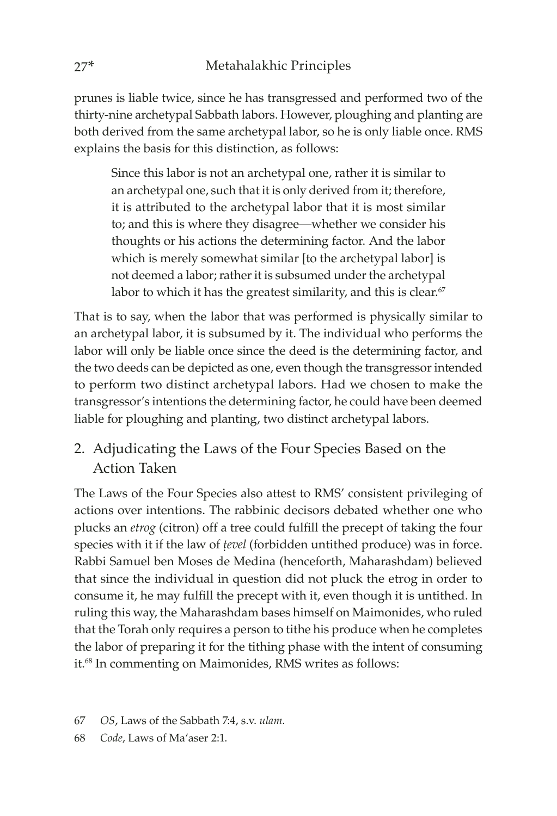prunes is liable twice, since he has transgressed and performed two of the thirty-nine archetypal Sabbath labors. However, ploughing and planting are both derived from the same archetypal labor, so he is only liable once. RMS explains the basis for this distinction, as follows:

Since this labor is not an archetypal one, rather it is similar to an archetypal one, such that it is only derived from it; therefore, it is attributed to the archetypal labor that it is most similar to; and this is where they disagree—whether we consider his thoughts or his actions the determining factor. And the labor which is merely somewhat similar [to the archetypal labor] is not deemed a labor; rather it is subsumed under the archetypal labor to which it has the greatest similarity, and this is clear.<sup>67</sup>

That is to say, when the labor that was performed is physically similar to an archetypal labor, it is subsumed by it. The individual who performs the labor will only be liable once since the deed is the determining factor, and the two deeds can be depicted as one, even though the transgressor intended to perform two distinct archetypal labors. Had we chosen to make the transgressor's intentions the determining factor, he could have been deemed liable for ploughing and planting, two distinct archetypal labors.

## 2. Adjudicating the Laws of the Four Species Based on the Action Taken

The Laws of the Four Species also attest to RMS' consistent privileging of actions over intentions. The rabbinic decisors debated whether one who plucks an *etrog* (citron) off a tree could fulfill the precept of taking the four species with it if the law of *tevel* (forbidden untithed produce) was in force. Rabbi Samuel ben Moses de Medina (henceforth, Maharashdam) believed that since the individual in question did not pluck the etrog in order to consume it, he may fulfill the precept with it, even though it is untithed. In ruling this way, the Maharashdam bases himself on Maimonides, who ruled that the Torah only requires a person to tithe his produce when he completes the labor of preparing it for the tithing phase with the intent of consuming it.<sup>68</sup> In commenting on Maimonides, RMS writes as follows:

<sup>67</sup> *OS*, Laws of the Sabbath 7:4, s.v. *ulam*.

<sup>68</sup> *Code*, Laws of Ma'aser 2:1.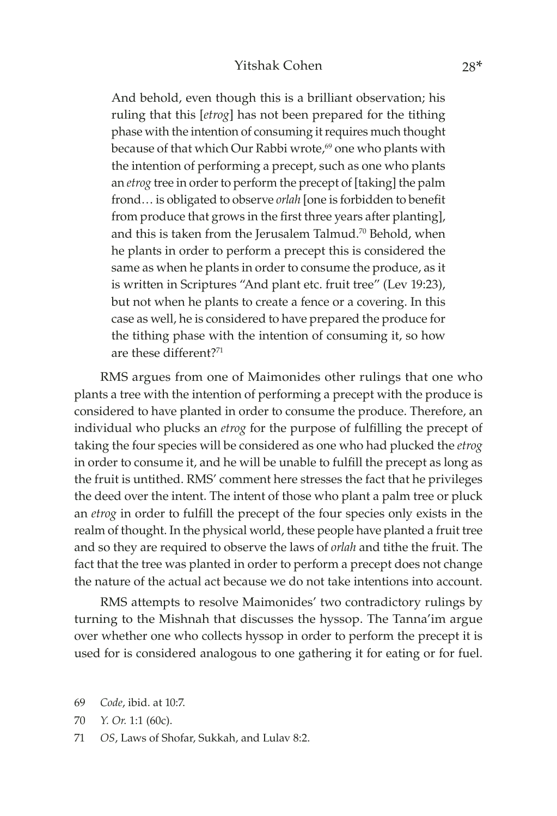And behold, even though this is a brilliant observation; his ruling that this [*etrog*] has not been prepared for the tithing phase with the intention of consuming it requires much thought because of that which Our Rabbi wrote,<sup>69</sup> one who plants with the intention of performing a precept, such as one who plants an *etrog* tree in order to perform the precept of [taking] the palm frond… is obligated to observe *orlah* [one is forbidden to benefit from produce that grows in the first three years after planting], and this is taken from the Jerusalem Talmud.<sup>70</sup> Behold, when he plants in order to perform a precept this is considered the same as when he plants in order to consume the produce, as it is written in Scriptures "And plant etc. fruit tree" (Lev 19:23), but not when he plants to create a fence or a covering. In this case as well, he is considered to have prepared the produce for the tithing phase with the intention of consuming it, so how are these different?<sup>71</sup>

RMS argues from one of Maimonides other rulings that one who plants a tree with the intention of performing a precept with the produce is considered to have planted in order to consume the produce. Therefore, an individual who plucks an *etrog* for the purpose of fulfilling the precept of taking the four species will be considered as one who had plucked the *etrog* in order to consume it, and he will be unable to fulfill the precept as long as the fruit is untithed. RMS' comment here stresses the fact that he privileges the deed over the intent. The intent of those who plant a palm tree or pluck an *etrog* in order to fulfill the precept of the four species only exists in the realm of thought. In the physical world, these people have planted a fruit tree and so they are required to observe the laws of *orlah* and tithe the fruit. The fact that the tree was planted in order to perform a precept does not change the nature of the actual act because we do not take intentions into account.

RMS attempts to resolve Maimonides' two contradictory rulings by turning to the Mishnah that discusses the hyssop. The Tanna'im argue over whether one who collects hyssop in order to perform the precept it is used for is considered analogous to one gathering it for eating or for fuel.

<sup>69</sup> *Code*, ibid. at 10:7.

<sup>70</sup> *Y. Or.* 1:1 (60c).

<sup>71</sup> *OS*, Laws of Shofar, Sukkah, and Lulav 8:2.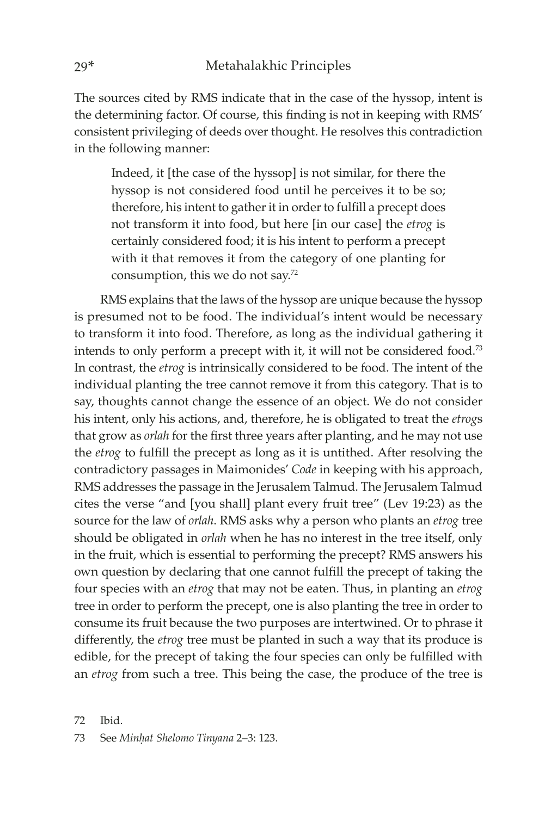The sources cited by RMS indicate that in the case of the hyssop, intent is the determining factor. Of course, this finding is not in keeping with RMS' consistent privileging of deeds over thought. He resolves this contradiction in the following manner:

Indeed, it [the case of the hyssop] is not similar, for there the hyssop is not considered food until he perceives it to be so; therefore, his intent to gather it in order to fulfill a precept does not transform it into food, but here [in our case] the *etrog* is certainly considered food; it is his intent to perform a precept with it that removes it from the category of one planting for consumption, this we do not say.72

RMS explains that the laws of the hyssop are unique because the hyssop is presumed not to be food. The individual's intent would be necessary to transform it into food. Therefore, as long as the individual gathering it intends to only perform a precept with it, it will not be considered food.<sup>73</sup> In contrast, the *etrog* is intrinsically considered to be food. The intent of the individual planting the tree cannot remove it from this category. That is to say, thoughts cannot change the essence of an object. We do not consider his intent, only his actions, and, therefore, he is obligated to treat the *etrog*s that grow as *orlah* for the first three years after planting, and he may not use the *etrog* to fulfill the precept as long as it is untithed. After resolving the contradictory passages in Maimonides' *Code* in keeping with his approach, RMS addresses the passage in the Jerusalem Talmud. The Jerusalem Talmud cites the verse "and [you shall] plant every fruit tree" (Lev 19:23) as the source for the law of *orlah*. RMS asks why a person who plants an *etrog* tree should be obligated in *orlah* when he has no interest in the tree itself, only in the fruit, which is essential to performing the precept? RMS answers his own question by declaring that one cannot fulfill the precept of taking the four species with an *etrog* that may not be eaten. Thus, in planting an *etrog* tree in order to perform the precept, one is also planting the tree in order to consume its fruit because the two purposes are intertwined. Or to phrase it differently, the *etrog* tree must be planted in such a way that its produce is edible, for the precept of taking the four species can only be fulfilled with an *etrog* from such a tree. This being the case, the produce of the tree is

72 Ibid.

73 See *Minêat Shelomo Tinyana* 2–3: 123.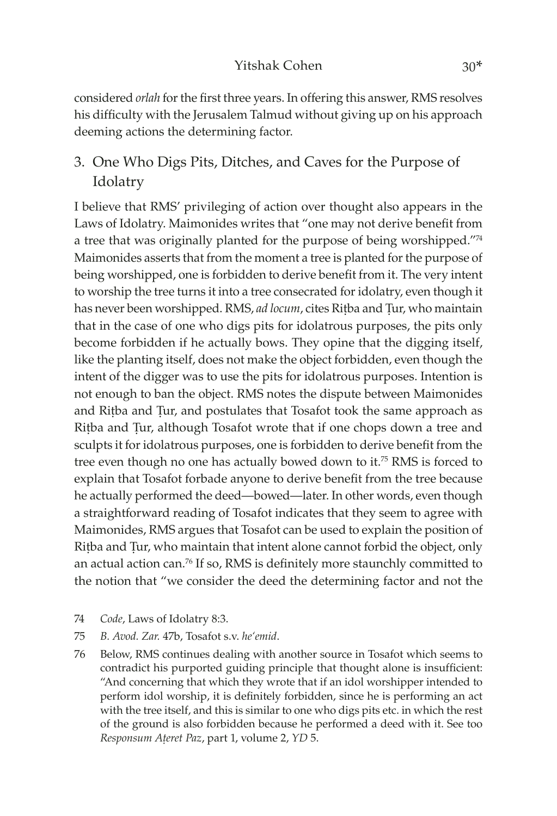considered *orlah* for the first three years. In offering this answer, RMS resolves his difficulty with the Jerusalem Talmud without giving up on his approach deeming actions the determining factor.

## 3. One Who Digs Pits, Ditches, and Caves for the Purpose of Idolatry

I believe that RMS' privileging of action over thought also appears in the Laws of Idolatry. Maimonides writes that "one may not derive benefit from a tree that was originally planted for the purpose of being worshipped."74 Maimonides asserts that from the moment a tree is planted for the purpose of being worshipped, one is forbidden to derive benefit from it. The very intent to worship the tree turns it into a tree consecrated for idolatry, even though it has never been worshipped. RMS, *ad locum*, cites Ritba and Tur, who maintain that in the case of one who digs pits for idolatrous purposes, the pits only become forbidden if he actually bows. They opine that the digging itself, like the planting itself, does not make the object forbidden, even though the intent of the digger was to use the pits for idolatrous purposes. Intention is not enough to ban the object. RMS notes the dispute between Maimonides and Ritba and Tur, and postulates that Tosafot took the same approach as Ritba and Tur, although Tosafot wrote that if one chops down a tree and sculpts it for idolatrous purposes, one is forbidden to derive benefit from the tree even though no one has actually bowed down to it.<sup>75</sup> RMS is forced to explain that Tosafot forbade anyone to derive benefit from the tree because he actually performed the deed—bowed—later. In other words, even though a straightforward reading of Tosafot indicates that they seem to agree with Maimonides, RMS argues that Tosafot can be used to explain the position of Ritba and Tur, who maintain that intent alone cannot forbid the object, only an actual action can.76 If so, RMS is definitely more staunchly committed to the notion that "we consider the deed the determining factor and not the

- 74 *Code*, Laws of Idolatry 8:3.
- 75 *B. Avod. Zar.* 47b, Tosafot s.v. *he'emid*.
- 76 Below, RMS continues dealing with another source in Tosafot which seems to contradict his purported guiding principle that thought alone is insufficient: "And concerning that which they wrote that if an idol worshipper intended to perform idol worship, it is definitely forbidden, since he is performing an act with the tree itself, and this is similar to one who digs pits etc. in which the rest of the ground is also forbidden because he performed a deed with it. See too *Responsum Aûeret Paz*, part 1, volume 2, *YD* 5.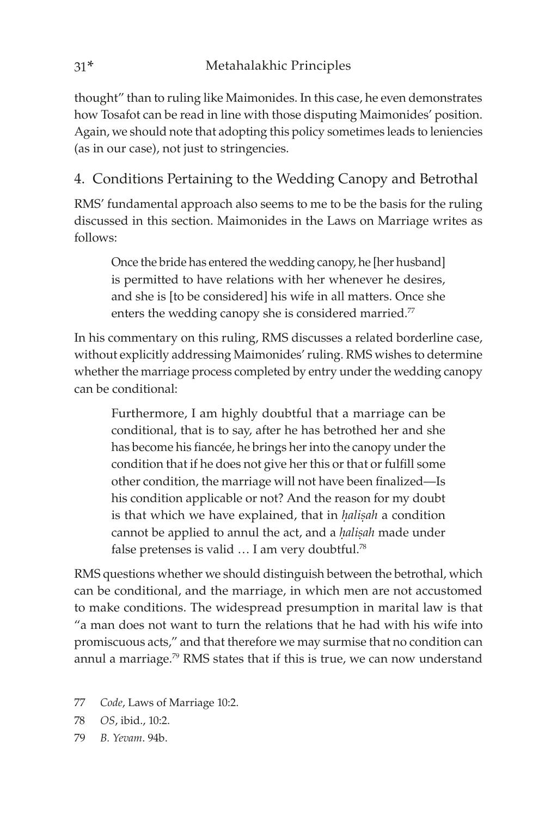thought" than to ruling like Maimonides. In this case, he even demonstrates how Tosafot can be read in line with those disputing Maimonides' position. Again, we should note that adopting this policy sometimes leads to leniencies (as in our case), not just to stringencies.

### 4. Conditions Pertaining to the Wedding Canopy and Betrothal

RMS' fundamental approach also seems to me to be the basis for the ruling discussed in this section. Maimonides in the Laws on Marriage writes as follows:

Once the bride has entered the wedding canopy, he [her husband] is permitted to have relations with her whenever he desires, and she is [to be considered] his wife in all matters. Once she enters the wedding canopy she is considered married.<sup>77</sup>

In his commentary on this ruling, RMS discusses a related borderline case, without explicitly addressing Maimonides' ruling. RMS wishes to determine whether the marriage process completed by entry under the wedding canopy can be conditional:

Furthermore, I am highly doubtful that a marriage can be conditional, that is to say, after he has betrothed her and she has become his fiancée, he brings her into the canopy under the condition that if he does not give her this or that or fulfill some other condition, the marriage will not have been finalized—Is his condition applicable or not? And the reason for my doubt is that which we have explained, that in *halisah* a condition cannot be applied to annul the act, and a *halisah* made under false pretenses is valid ... I am very doubtful.<sup>78</sup>

RMS questions whether we should distinguish between the betrothal, which can be conditional, and the marriage, in which men are not accustomed to make conditions. The widespread presumption in marital law is that "a man does not want to turn the relations that he had with his wife into promiscuous acts," and that therefore we may surmise that no condition can annul a marriage.<sup>79</sup> RMS states that if this is true, we can now understand

- 77 *Code*, Laws of Marriage 10:2.
- 78 *OS*, ibid., 10:2.
- 79 *B. Yevam*. 94b.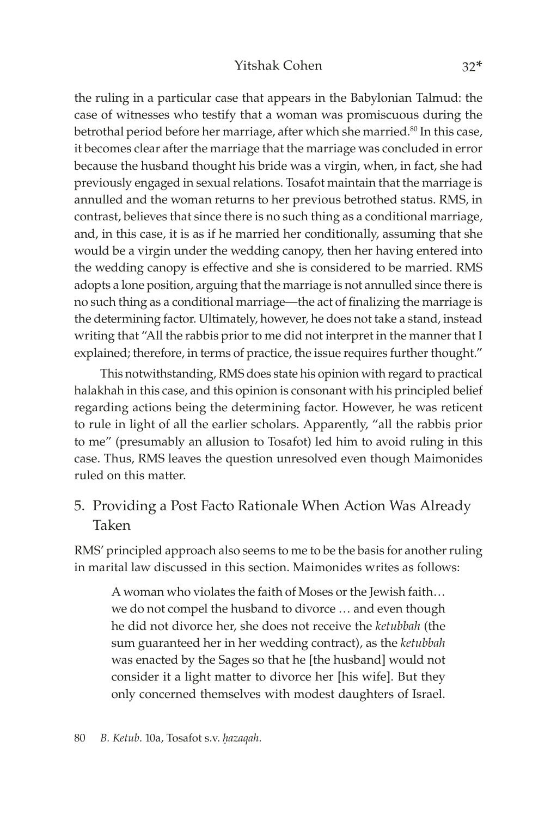the ruling in a particular case that appears in the Babylonian Talmud: the case of witnesses who testify that a woman was promiscuous during the betrothal period before her marriage, after which she married.<sup>80</sup> In this case, it becomes clear after the marriage that the marriage was concluded in error because the husband thought his bride was a virgin, when, in fact, she had previously engaged in sexual relations. Tosafot maintain that the marriage is annulled and the woman returns to her previous betrothed status. RMS, in contrast, believes that since there is no such thing as a conditional marriage, and, in this case, it is as if he married her conditionally, assuming that she would be a virgin under the wedding canopy, then her having entered into the wedding canopy is effective and she is considered to be married. RMS adopts a lone position, arguing that the marriage is not annulled since there is no such thing as a conditional marriage—the act of finalizing the marriage is the determining factor. Ultimately, however, he does not take a stand, instead writing that "All the rabbis prior to me did not interpret in the manner that I explained; therefore, in terms of practice, the issue requires further thought."

This notwithstanding, RMS does state his opinion with regard to practical halakhah in this case, and this opinion is consonant with his principled belief regarding actions being the determining factor. However, he was reticent to rule in light of all the earlier scholars. Apparently, "all the rabbis prior to me" (presumably an allusion to Tosafot) led him to avoid ruling in this case. Thus, RMS leaves the question unresolved even though Maimonides ruled on this matter.

5. Providing a Post Facto Rationale When Action Was Already Taken

RMS' principled approach also seems to me to be the basis for another ruling in marital law discussed in this section. Maimonides writes as follows:

A woman who violates the faith of Moses or the Jewish faith… we do not compel the husband to divorce … and even though he did not divorce her, she does not receive the *ketubbah* (the sum guaranteed her in her wedding contract), as the *ketubbah* was enacted by the Sages so that he [the husband] would not consider it a light matter to divorce her [his wife]. But they only concerned themselves with modest daughters of Israel.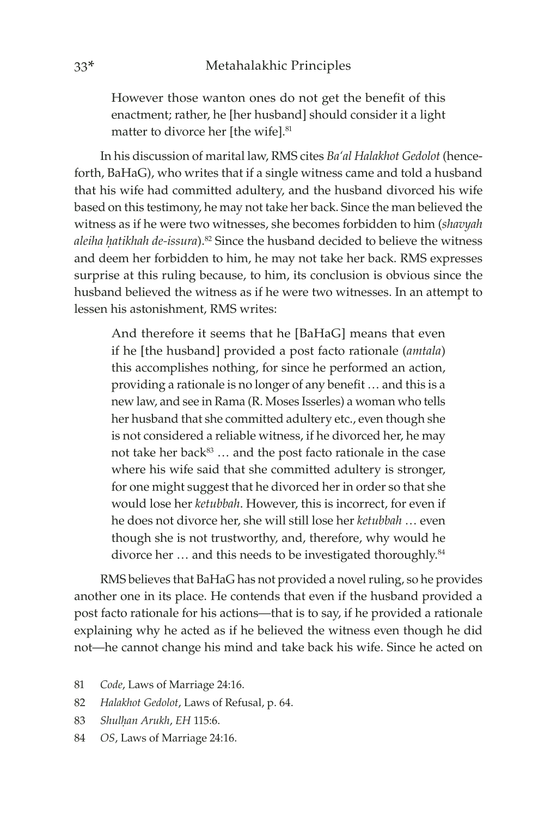However those wanton ones do not get the benefit of this enactment; rather, he [her husband] should consider it a light matter to divorce her [the wife].<sup>81</sup>

In his discussion of marital law, RMS cites *Ba'al Halakhot Gedolot* (henceforth, BaHaG), who writes that if a single witness came and told a husband that his wife had committed adultery, and the husband divorced his wife based on this testimony, he may not take her back. Since the man believed the witness as if he were two witnesses, she becomes forbidden to him (*shavyah*  aleiha hatikhah de-issura).<sup>82</sup> Since the husband decided to believe the witness and deem her forbidden to him, he may not take her back. RMS expresses surprise at this ruling because, to him, its conclusion is obvious since the husband believed the witness as if he were two witnesses. In an attempt to lessen his astonishment, RMS writes:

And therefore it seems that he [BaHaG] means that even if he [the husband] provided a post facto rationale (*amtala*) this accomplishes nothing, for since he performed an action, providing a rationale is no longer of any benefit … and this is a new law, and see in Rama (R. Moses Isserles) a woman who tells her husband that she committed adultery etc., even though she is not considered a reliable witness, if he divorced her, he may not take her back<sup>83</sup> ... and the post facto rationale in the case where his wife said that she committed adultery is stronger, for one might suggest that he divorced her in order so that she would lose her *ketubbah*. However, this is incorrect, for even if he does not divorce her, she will still lose her *ketubbah* … even though she is not trustworthy, and, therefore, why would he divorce her ... and this needs to be investigated thoroughly.<sup>84</sup>

RMS believes that BaHaG has not provided a novel ruling, so he provides another one in its place. He contends that even if the husband provided a post facto rationale for his actions—that is to say, if he provided a rationale explaining why he acted as if he believed the witness even though he did not—he cannot change his mind and take back his wife. Since he acted on

- 81 *Code*, Laws of Marriage 24:16.
- 82 *Halakhot Gedolot*, Laws of Refusal, p. 64.
- 83 *Shulḥan Arukh*, *EH* 115:6.
- 84 *OS*, Laws of Marriage 24:16.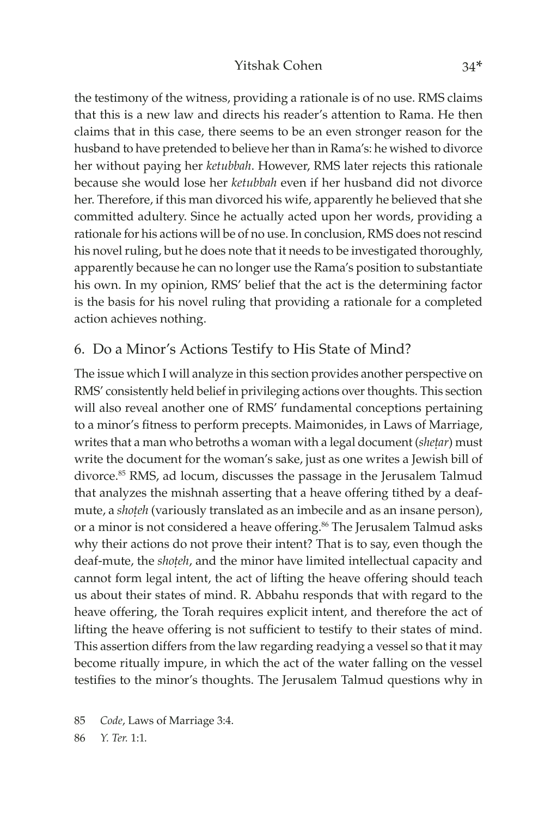#### Yitshak Cohen 34\*

the testimony of the witness, providing a rationale is of no use. RMS claims that this is a new law and directs his reader's attention to Rama. He then claims that in this case, there seems to be an even stronger reason for the husband to have pretended to believe her than in Rama's: he wished to divorce her without paying her *ketubbah*. However, RMS later rejects this rationale because she would lose her *ketubbah* even if her husband did not divorce her. Therefore, if this man divorced his wife, apparently he believed that she committed adultery. Since he actually acted upon her words, providing a rationale for his actions will be of no use. In conclusion, RMS does not rescind his novel ruling, but he does note that it needs to be investigated thoroughly, apparently because he can no longer use the Rama's position to substantiate his own. In my opinion, RMS' belief that the act is the determining factor is the basis for his novel ruling that providing a rationale for a completed action achieves nothing.

### 6. Do a Minor's Actions Testify to His State of Mind?

The issue which I will analyze in this section provides another perspective on RMS' consistently held belief in privileging actions over thoughts. This section will also reveal another one of RMS' fundamental conceptions pertaining to a minor's fitness to perform precepts. Maimonides, in Laws of Marriage, writes that a man who betroths a woman with a legal document (*shetar*) must write the document for the woman's sake, just as one writes a Jewish bill of divorce.85 RMS, ad locum, discusses the passage in the Jerusalem Talmud that analyzes the mishnah asserting that a heave offering tithed by a deafmute, a *shoteh* (variously translated as an imbecile and as an insane person), or a minor is not considered a heave offering.<sup>86</sup> The Jerusalem Talmud asks why their actions do not prove their intent? That is to say, even though the deaf-mute, the *shoteh*, and the minor have limited intellectual capacity and cannot form legal intent, the act of lifting the heave offering should teach us about their states of mind. R. Abbahu responds that with regard to the heave offering, the Torah requires explicit intent, and therefore the act of lifting the heave offering is not sufficient to testify to their states of mind. This assertion differs from the law regarding readying a vessel so that it may become ritually impure, in which the act of the water falling on the vessel testifies to the minor's thoughts. The Jerusalem Talmud questions why in

85 *Code*, Laws of Marriage 3:4.

86 *Y. Ter.* 1:1.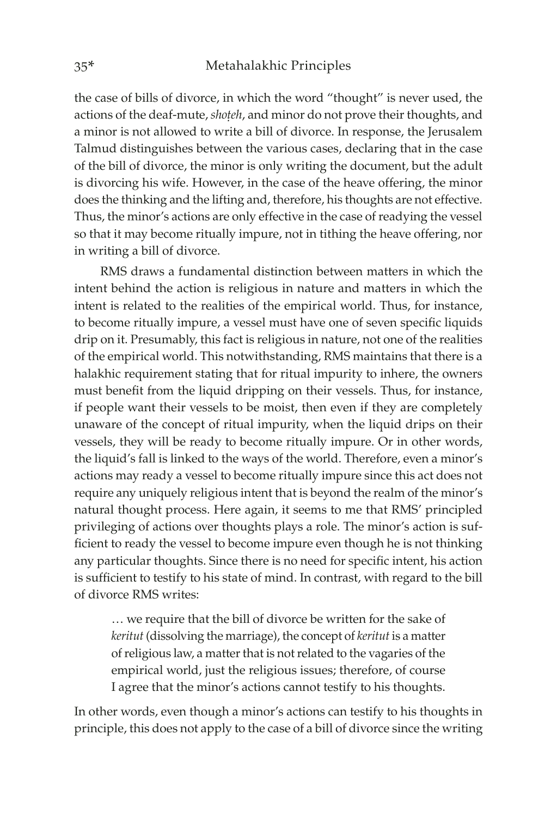the case of bills of divorce, in which the word "thought" is never used, the actions of the deaf-mute, *shoteh*, and minor do not prove their thoughts, and a minor is not allowed to write a bill of divorce. In response, the Jerusalem Talmud distinguishes between the various cases, declaring that in the case of the bill of divorce, the minor is only writing the document, but the adult is divorcing his wife. However, in the case of the heave offering, the minor does the thinking and the lifting and, therefore, his thoughts are not effective. Thus, the minor's actions are only effective in the case of readying the vessel so that it may become ritually impure, not in tithing the heave offering, nor in writing a bill of divorce.

RMS draws a fundamental distinction between matters in which the intent behind the action is religious in nature and matters in which the intent is related to the realities of the empirical world. Thus, for instance, to become ritually impure, a vessel must have one of seven specific liquids drip on it. Presumably, this fact is religious in nature, not one of the realities of the empirical world. This notwithstanding, RMS maintains that there is a halakhic requirement stating that for ritual impurity to inhere, the owners must benefit from the liquid dripping on their vessels. Thus, for instance, if people want their vessels to be moist, then even if they are completely unaware of the concept of ritual impurity, when the liquid drips on their vessels, they will be ready to become ritually impure. Or in other words, the liquid's fall is linked to the ways of the world. Therefore, even a minor's actions may ready a vessel to become ritually impure since this act does not require any uniquely religious intent that is beyond the realm of the minor's natural thought process. Here again, it seems to me that RMS' principled privileging of actions over thoughts plays a role. The minor's action is sufficient to ready the vessel to become impure even though he is not thinking any particular thoughts. Since there is no need for specific intent, his action is sufficient to testify to his state of mind. In contrast, with regard to the bill of divorce RMS writes:

… we require that the bill of divorce be written for the sake of *keritut* (dissolving the marriage), the concept of *keritut* is a matter of religious law, a matter that is not related to the vagaries of the empirical world, just the religious issues; therefore, of course I agree that the minor's actions cannot testify to his thoughts.

In other words, even though a minor's actions can testify to his thoughts in principle, this does not apply to the case of a bill of divorce since the writing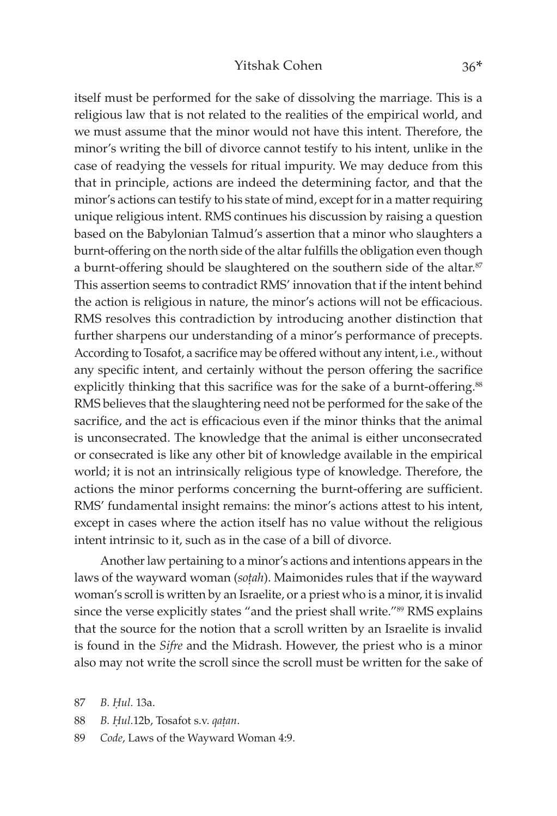itself must be performed for the sake of dissolving the marriage. This is a religious law that is not related to the realities of the empirical world, and we must assume that the minor would not have this intent. Therefore, the minor's writing the bill of divorce cannot testify to his intent, unlike in the case of readying the vessels for ritual impurity. We may deduce from this that in principle, actions are indeed the determining factor, and that the minor's actions can testify to his state of mind, except for in a matter requiring unique religious intent. RMS continues his discussion by raising a question based on the Babylonian Talmud's assertion that a minor who slaughters a burnt-offering on the north side of the altar fulfills the obligation even though a burnt-offering should be slaughtered on the southern side of the altar.<sup>87</sup> This assertion seems to contradict RMS' innovation that if the intent behind the action is religious in nature, the minor's actions will not be efficacious. RMS resolves this contradiction by introducing another distinction that further sharpens our understanding of a minor's performance of precepts. According to Tosafot, a sacrifice may be offered without any intent, i.e., without any specific intent, and certainly without the person offering the sacrifice explicitly thinking that this sacrifice was for the sake of a burnt-offering.<sup>88</sup> RMS believes that the slaughtering need not be performed for the sake of the sacrifice, and the act is efficacious even if the minor thinks that the animal is unconsecrated. The knowledge that the animal is either unconsecrated or consecrated is like any other bit of knowledge available in the empirical world; it is not an intrinsically religious type of knowledge. Therefore, the actions the minor performs concerning the burnt-offering are sufficient. RMS' fundamental insight remains: the minor's actions attest to his intent, except in cases where the action itself has no value without the religious intent intrinsic to it, such as in the case of a bill of divorce.

Another law pertaining to a minor's actions and intentions appears in the laws of the wayward woman (*sotah*). Maimonides rules that if the wayward woman's scroll is written by an Israelite, or a priest who is a minor, it is invalid since the verse explicitly states "and the priest shall write."89 RMS explains that the source for the notion that a scroll written by an Israelite is invalid is found in the *Sifre* and the Midrash. However, the priest who is a minor also may not write the scroll since the scroll must be written for the sake of

- 87 *B. Ḥul.* 13a.
- 88 *B. Hul.12b*, Tosafot s.v. qațan.
- 89 *Code*, Laws of the Wayward Woman 4:9.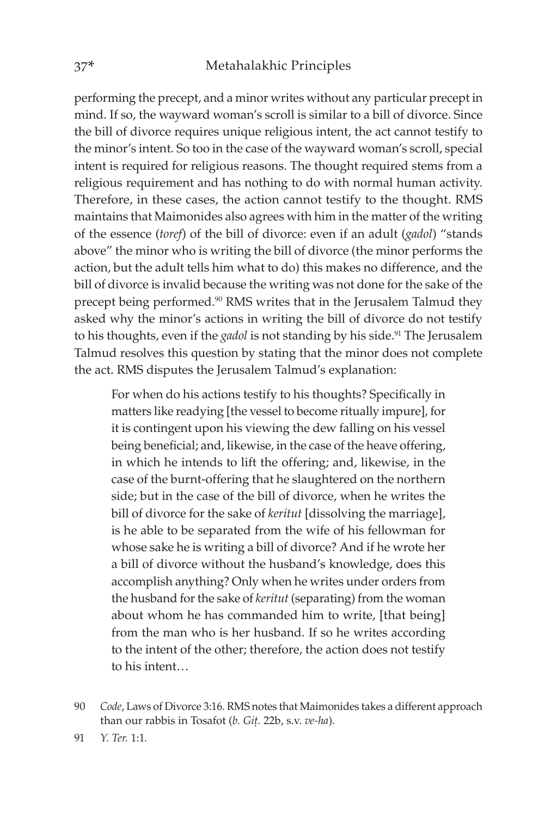performing the precept, and a minor writes without any particular precept in mind. If so, the wayward woman's scroll is similar to a bill of divorce. Since the bill of divorce requires unique religious intent, the act cannot testify to the minor's intent. So too in the case of the wayward woman's scroll, special intent is required for religious reasons. The thought required stems from a religious requirement and has nothing to do with normal human activity. Therefore, in these cases, the action cannot testify to the thought. RMS maintains that Maimonides also agrees with him in the matter of the writing of the essence (*toref*) of the bill of divorce: even if an adult (*gadol*) "stands above" the minor who is writing the bill of divorce (the minor performs the action, but the adult tells him what to do) this makes no difference, and the bill of divorce is invalid because the writing was not done for the sake of the precept being performed.<sup>90</sup> RMS writes that in the Jerusalem Talmud they asked why the minor's actions in writing the bill of divorce do not testify to his thoughts, even if the *gadol* is not standing by his side.<sup>91</sup> The Jerusalem Talmud resolves this question by stating that the minor does not complete the act. RMS disputes the Jerusalem Talmud's explanation:

For when do his actions testify to his thoughts? Specifically in matters like readying [the vessel to become ritually impure], for it is contingent upon his viewing the dew falling on his vessel being beneficial; and, likewise, in the case of the heave offering, in which he intends to lift the offering; and, likewise, in the case of the burnt-offering that he slaughtered on the northern side; but in the case of the bill of divorce, when he writes the bill of divorce for the sake of *keritut* [dissolving the marriage], is he able to be separated from the wife of his fellowman for whose sake he is writing a bill of divorce? And if he wrote her a bill of divorce without the husband's knowledge, does this accomplish anything? Only when he writes under orders from the husband for the sake of *keritut* (separating) from the woman about whom he has commanded him to write, [that being] from the man who is her husband. If so he writes according to the intent of the other; therefore, the action does not testify to his intent…

<sup>90</sup> *Code*, Laws of Divorce 3:16. RMS notes that Maimonides takes a different approach than our rabbis in Tosafot (*b. Giû.* 22b, s.v. *ve-ha*).

<sup>91</sup> *Y. Ter.* 1:1.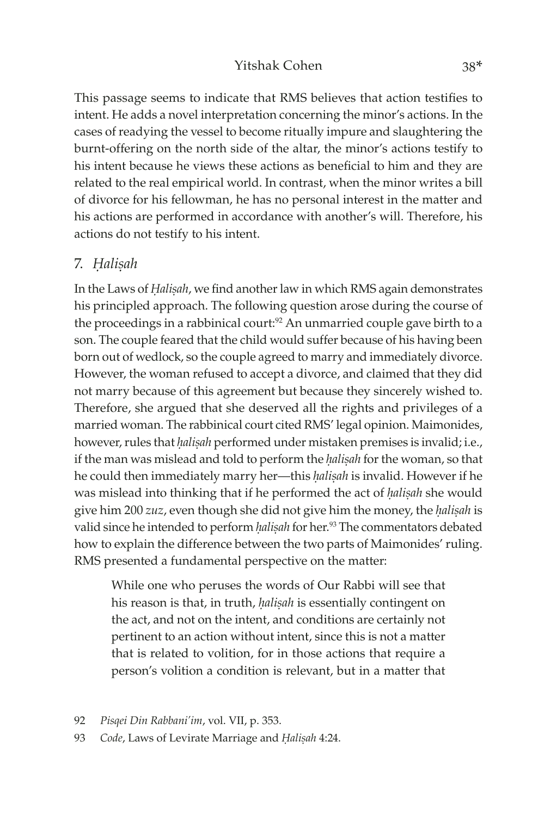#### Yitshak Cohen 38\*

This passage seems to indicate that RMS believes that action testifies to intent. He adds a novel interpretation concerning the minor's actions. In the cases of readying the vessel to become ritually impure and slaughtering the burnt-offering on the north side of the altar, the minor's actions testify to his intent because he views these actions as beneficial to him and they are related to the real empirical world. In contrast, when the minor writes a bill of divorce for his fellowman, he has no personal interest in the matter and his actions are performed in accordance with another's will. Therefore, his actions do not testify to his intent.

#### 7. *Êaliúah*

In the Laws of *Ḥaliṣah*, we find another law in which RMS again demonstrates his principled approach. The following question arose during the course of the proceedings in a rabbinical court:<sup>92</sup> An unmarried couple gave birth to a son. The couple feared that the child would suffer because of his having been born out of wedlock, so the couple agreed to marry and immediately divorce. However, the woman refused to accept a divorce, and claimed that they did not marry because of this agreement but because they sincerely wished to. Therefore, she argued that she deserved all the rights and privileges of a married woman. The rabbinical court cited RMS' legal opinion. Maimonides, however, rules that *êaliṣah* performed under mistaken premises is invalid; i.e., if the man was mislead and told to perform the *halisah* for the woman, so that he could then immediately marry her—this *êaliṣah* is invalid. However if he was mislead into thinking that if he performed the act of *halisah* she would give him 200 *zuz*, even though she did not give him the money, the *êaliṣah* is valid since he intended to perform *halisah* for her.<sup>93</sup> The commentators debated how to explain the difference between the two parts of Maimonides' ruling. RMS presented a fundamental perspective on the matter:

While one who peruses the words of Our Rabbi will see that his reason is that, in truth, *halisah* is essentially contingent on the act, and not on the intent, and conditions are certainly not pertinent to an action without intent, since this is not a matter that is related to volition, for in those actions that require a person's volition a condition is relevant, but in a matter that

<sup>92</sup> *Pisqei Din Rabbani'im*, vol. VII, p. 353.

<sup>93</sup> *Code*, Laws of Levirate Marriage and *Halisah* 4:24.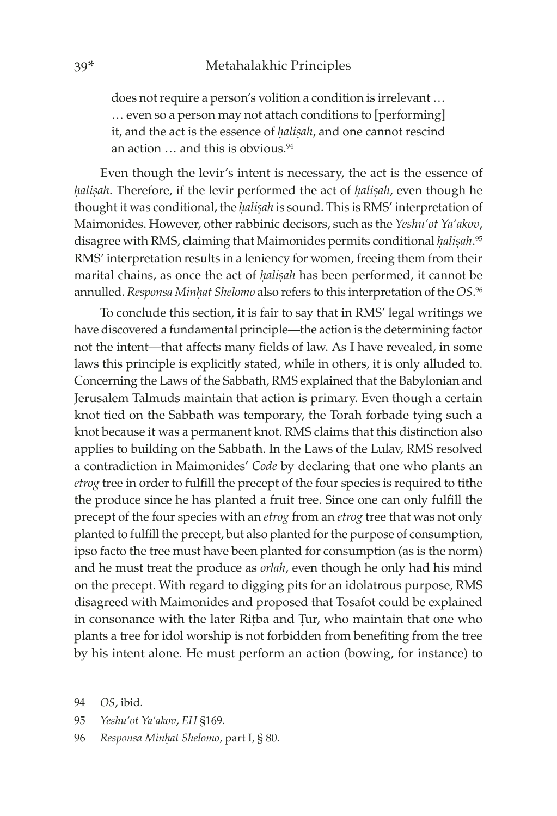does not require a person's volition a condition is irrelevant … … even so a person may not attach conditions to [performing] it, and the act is the essence of *halisah*, and one cannot rescind an action ... and this is obvious.<sup>94</sup>

Even though the levir's intent is necessary, the act is the essence of *halisah*. Therefore, if the levir performed the act of *halisah*, even though he thought it was conditional, the *halisah* is sound. This is RMS' interpretation of Maimonides. However, other rabbinic decisors, such as the *Yeshu'ot Ya'akov*, disagree with RMS, claiming that Maimonides permits conditional *haliṣah*.<sup>95</sup> RMS' interpretation results in a leniency for women, freeing them from their marital chains, as once the act of *halisah* has been performed, it cannot be annulled. *Responsa Minhat Shelomo* also refers to this interpretation of the OS.<sup>96</sup>

To conclude this section, it is fair to say that in RMS' legal writings we have discovered a fundamental principle—the action is the determining factor not the intent—that affects many fields of law. As I have revealed, in some laws this principle is explicitly stated, while in others, it is only alluded to. Concerning the Laws of the Sabbath, RMS explained that the Babylonian and Jerusalem Talmuds maintain that action is primary. Even though a certain knot tied on the Sabbath was temporary, the Torah forbade tying such a knot because it was a permanent knot. RMS claims that this distinction also applies to building on the Sabbath. In the Laws of the Lulav, RMS resolved a contradiction in Maimonides' *Code* by declaring that one who plants an *etrog* tree in order to fulfill the precept of the four species is required to tithe the produce since he has planted a fruit tree. Since one can only fulfill the precept of the four species with an *etrog* from an *etrog* tree that was not only planted to fulfill the precept, but also planted for the purpose of consumption, ipso facto the tree must have been planted for consumption (as is the norm) and he must treat the produce as *orlah*, even though he only had his mind on the precept. With regard to digging pits for an idolatrous purpose, RMS disagreed with Maimonides and proposed that Tosafot could be explained in consonance with the later Ritba and Tur, who maintain that one who plants a tree for idol worship is not forbidden from benefiting from the tree by his intent alone. He must perform an action (bowing, for instance) to

94 *OS*, ibid.

- 95 *Yeshu'ot Ya'akov*, *EH* §169.
- 96 Responsa Minhat Shelomo, part I, § 80.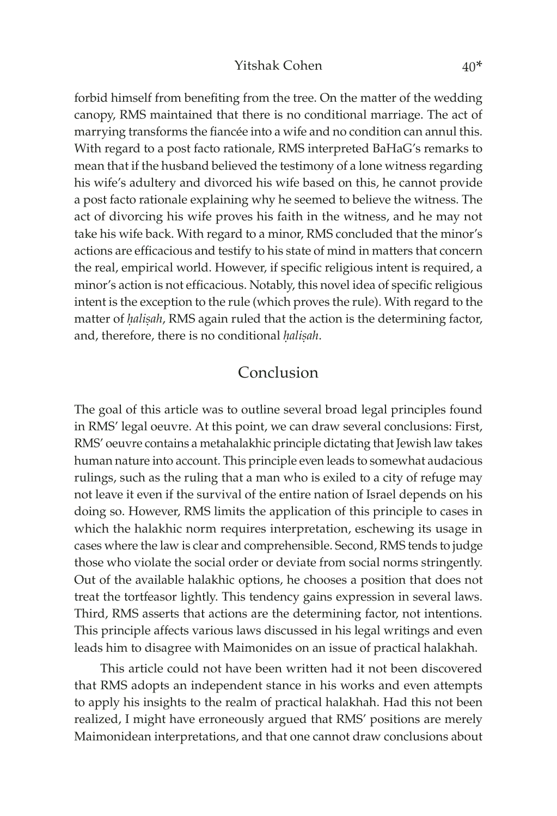forbid himself from benefiting from the tree. On the matter of the wedding canopy, RMS maintained that there is no conditional marriage. The act of marrying transforms the fiancée into a wife and no condition can annul this. With regard to a post facto rationale, RMS interpreted BaHaG's remarks to mean that if the husband believed the testimony of a lone witness regarding his wife's adultery and divorced his wife based on this, he cannot provide a post facto rationale explaining why he seemed to believe the witness. The act of divorcing his wife proves his faith in the witness, and he may not take his wife back. With regard to a minor, RMS concluded that the minor's actions are efficacious and testify to his state of mind in matters that concern the real, empirical world. However, if specific religious intent is required, a minor's action is not efficacious. Notably, this novel idea of specific religious intent is the exception to the rule (which proves the rule). With regard to the matter of *ḥaliṣah*, RMS again ruled that the action is the determining factor, and, therefore, there is no conditional *ḥaliṣah*.

### Conclusion

The goal of this article was to outline several broad legal principles found in RMS' legal oeuvre. At this point, we can draw several conclusions: First, RMS' oeuvre contains a metahalakhic principle dictating that Jewish law takes human nature into account. This principle even leads to somewhat audacious rulings, such as the ruling that a man who is exiled to a city of refuge may not leave it even if the survival of the entire nation of Israel depends on his doing so. However, RMS limits the application of this principle to cases in which the halakhic norm requires interpretation, eschewing its usage in cases where the law is clear and comprehensible. Second, RMS tends to judge those who violate the social order or deviate from social norms stringently. Out of the available halakhic options, he chooses a position that does not treat the tortfeasor lightly. This tendency gains expression in several laws. Third, RMS asserts that actions are the determining factor, not intentions. This principle affects various laws discussed in his legal writings and even leads him to disagree with Maimonides on an issue of practical halakhah.

This article could not have been written had it not been discovered that RMS adopts an independent stance in his works and even attempts to apply his insights to the realm of practical halakhah. Had this not been realized, I might have erroneously argued that RMS' positions are merely Maimonidean interpretations, and that one cannot draw conclusions about